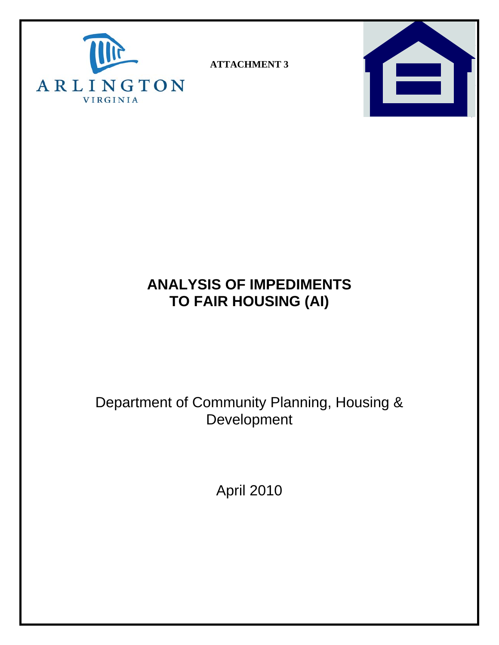

**ATTACHMENT 3** 



# **ANALYSIS OF IMPEDIMENTS TO FAIR HOUSING (AI)**

# Department of Community Planning, Housing & **Development**

April 2010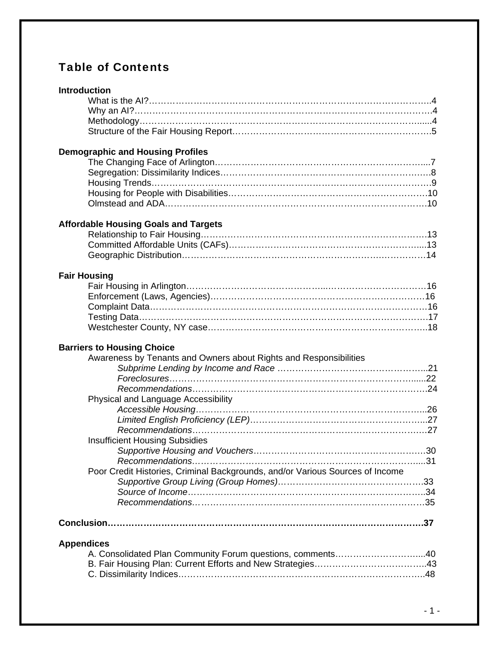# Table of Contents

### **Introduction**

### **Demographic and Housing Profiles**

### **Affordable Housing Goals and Targets**

### **Fair Housing**

## **Barriers to Housing Choice**

| Awareness by Tenants and Owners about Rights and Responsibilities             |     |
|-------------------------------------------------------------------------------|-----|
|                                                                               |     |
|                                                                               | .22 |
|                                                                               |     |
| Physical and Language Accessibility                                           |     |
|                                                                               |     |
|                                                                               |     |
|                                                                               |     |
| <b>Insufficient Housing Subsidies</b>                                         |     |
|                                                                               |     |
|                                                                               |     |
| Poor Credit Histories, Criminal Backgrounds, and/or Various Sources of Income |     |
|                                                                               |     |
|                                                                               |     |
|                                                                               |     |
|                                                                               | .37 |
| <b>Appendices</b>                                                             |     |
| A. Consolidated Plan Community Forum questions, comments                      | .40 |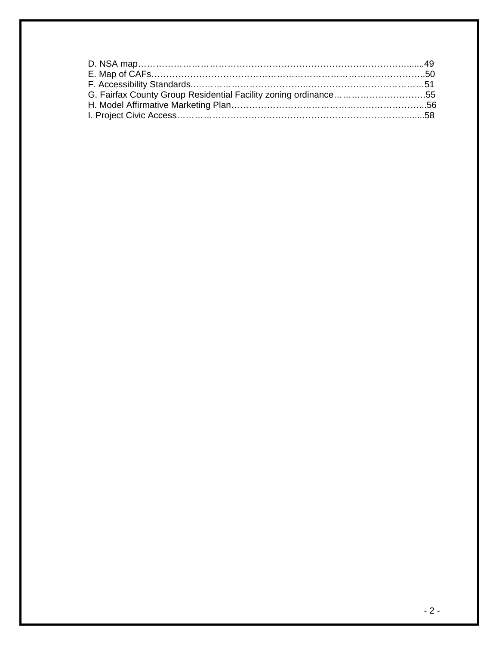| G. Fairfax County Group Residential Facility zoning ordinance55 |  |
|-----------------------------------------------------------------|--|
|                                                                 |  |
|                                                                 |  |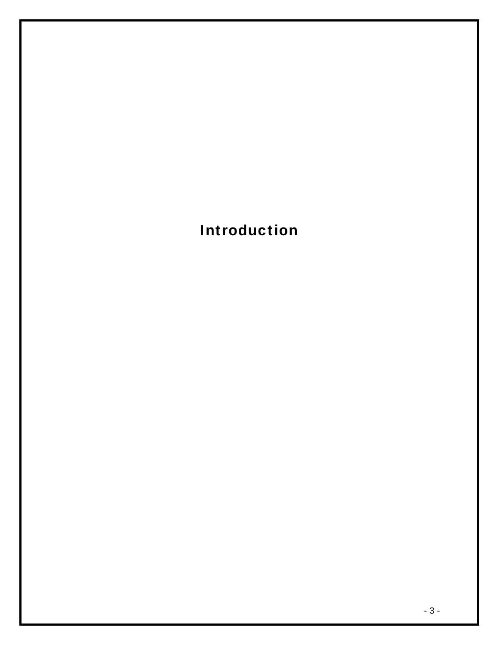Introduction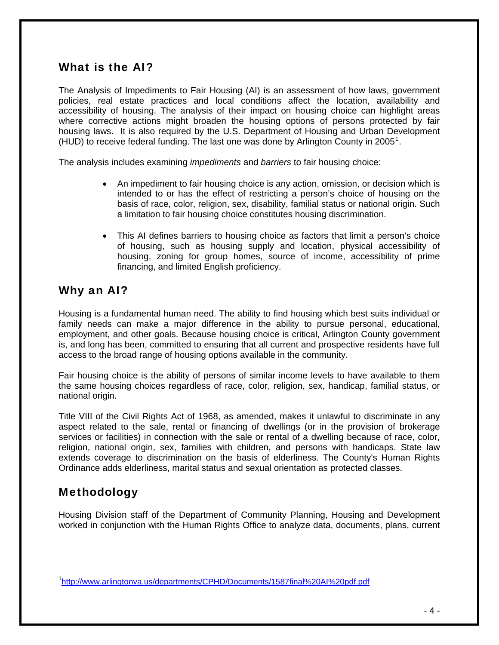## <span id="page-4-0"></span>What is the AI?

The Analysis of Impediments to Fair Housing (AI) is an assessment of how laws, government policies, real estate practices and local conditions affect the location, availability and accessibility of housing. The analysis of their impact on housing choice can highlight areas where corrective actions might broaden the housing options of persons protected by fair housing laws. It is also required by the U.S. Department of Housing and Urban Development (HUD) to receive federal funding. The last one was done by Arlington County in 2005<sup>[1](#page-4-0)</sup>.

The analysis includes examining *impediments* and *barriers* to fair housing choice:

- An impediment to fair housing choice is any action, omission, or decision which is intended to or has the effect of restricting a person's choice of housing on the basis of race, color, religion, sex, disability, familial status or national origin. Such a limitation to fair housing choice constitutes housing discrimination.
- This AI defines barriers to housing choice as factors that limit a person's choice of housing, such as housing supply and location, physical accessibility of housing, zoning for group homes, source of income, accessibility of prime financing, and limited English proficiency.

## Why an AI?

Housing is a fundamental human need. The ability to find housing which best suits individual or family needs can make a major difference in the ability to pursue personal, educational, employment, and other goals. Because housing choice is critical, Arlington County government is, and long has been, committed to ensuring that all current and prospective residents have full access to the broad range of housing options available in the community.

Fair housing choice is the ability of persons of similar income levels to have available to them the same housing choices regardless of race, color, religion, sex, handicap, familial status, or national origin.

Title VIII of the Civil Rights Act of 1968, as amended, makes it unlawful to discriminate in any aspect related to the sale, rental or financing of dwellings (or in the provision of brokerage services or facilities) in connection with the sale or rental of a dwelling because of race, color, religion, national origin, sex, families with children, and persons with handicaps. State law extends coverage to discrimination on the basis of elderliness. The County's Human Rights Ordinance adds elderliness, marital status and sexual orientation as protected classes.

# Methodology

Housing Division staff of the Department of Community Planning, Housing and Development worked in conjunction with the Human Rights Office to analyze data, documents, plans, current

<sup>&</sup>lt;sup>1</sup><http://www.arlingtonva.us/departments/CPHD/Documents/1587final%20AI%20pdf.pdf>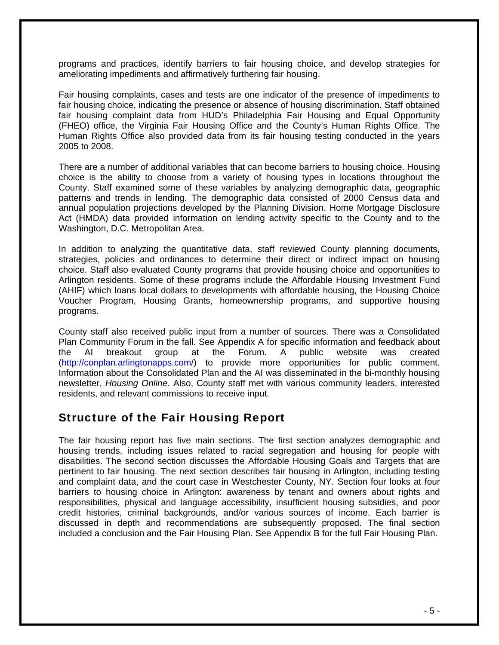programs and practices, identify barriers to fair housing choice, and develop strategies for ameliorating impediments and affirmatively furthering fair housing.

Fair housing complaints, cases and tests are one indicator of the presence of impediments to fair housing choice, indicating the presence or absence of housing discrimination. Staff obtained fair housing complaint data from HUD's Philadelphia Fair Housing and Equal Opportunity (FHEO) office, the Virginia Fair Housing Office and the County's Human Rights Office. The Human Rights Office also provided data from its fair housing testing conducted in the years 2005 to 2008.

There are a number of additional variables that can become barriers to housing choice. Housing choice is the ability to choose from a variety of housing types in locations throughout the County. Staff examined some of these variables by analyzing demographic data, geographic patterns and trends in lending. The demographic data consisted of 2000 Census data and annual population projections developed by the Planning Division. Home Mortgage Disclosure Act (HMDA) data provided information on lending activity specific to the County and to the Washington, D.C. Metropolitan Area.

In addition to analyzing the quantitative data, staff reviewed County planning documents, strategies, policies and ordinances to determine their direct or indirect impact on housing choice. Staff also evaluated County programs that provide housing choice and opportunities to Arlington residents. Some of these programs include the Affordable Housing Investment Fund (AHIF) which loans local dollars to developments with affordable housing, the Housing Choice Voucher Program, Housing Grants, homeownership programs, and supportive housing programs.

County staff also received public input from a number of sources. There was a Consolidated Plan Community Forum in the fall. See Appendix A for specific information and feedback about the AI breakout group at the Forum. A public website was created ([http://conplan.arlingtonapps.com/\)](http://conplan.arlingtonapps.com/) to provide more opportunities for public comment. Information about the Consolidated Plan and the AI was disseminated in the bi-monthly housing newsletter, *Housing Online*. Also, County staff met with various community leaders, interested residents, and relevant commissions to receive input.

## Structure of the Fair Housing Report

The fair housing report has five main sections. The first section analyzes demographic and housing trends, including issues related to racial segregation and housing for people with disabilities. The second section discusses the Affordable Housing Goals and Targets that are pertinent to fair housing. The next section describes fair housing in Arlington, including testing and complaint data, and the court case in Westchester County, NY. Section four looks at four barriers to housing choice in Arlington: awareness by tenant and owners about rights and responsibilities, physical and language accessibility, insufficient housing subsidies, and poor credit histories, criminal backgrounds, and/or various sources of income. Each barrier is discussed in depth and recommendations are subsequently proposed. The final section included a conclusion and the Fair Housing Plan. See Appendix B for the full Fair Housing Plan.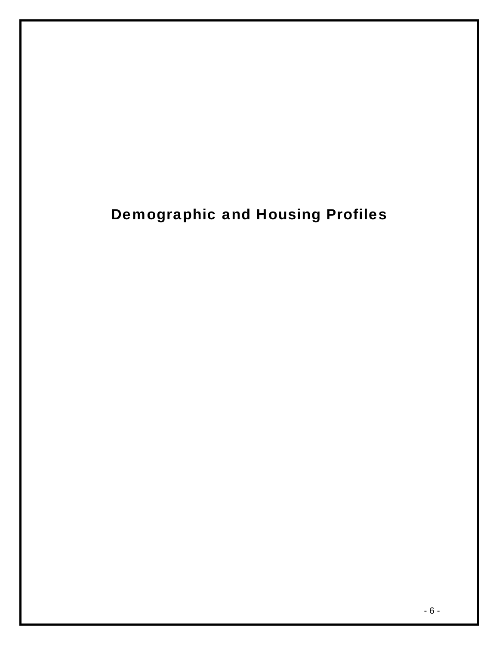# Demographic and Housing Profiles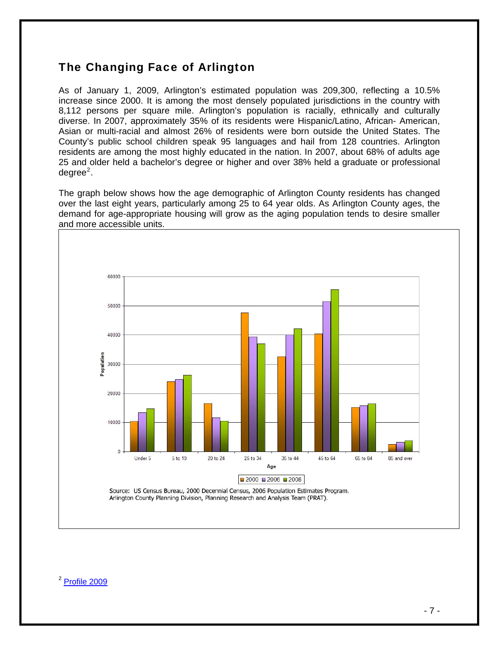# <span id="page-7-0"></span>The Changing Face of Arlington

As of January 1, 2009, Arlington's estimated population was 209,300, reflecting a 10.5% increase since 2000. It is among the most densely populated jurisdictions in the country with 8,112 persons per square mile. Arlington's population is racially, ethnically and culturally diverse. In 2007, approximately 35% of its residents were Hispanic/Latino, African- American, Asian or multi-racial and almost 26% of residents were born outside the United States. The County's public school children speak 95 languages and hail from 128 countries. Arlington residents are among the most highly educated in the nation. In 2007, about 68% of adults age 25 and older held a bachelor's degree or higher and over 38% held a graduate or professional degree<sup>[2](#page-7-0)</sup>.

The graph below shows how the age demographic of Arlington County residents has changed over the last eight years, particularly among 25 to 64 year olds. As Arlington County ages, the demand for age-appropriate housing will grow as the aging population tends to desire smaller and more accessible units.



#### <sup>2</sup> [Profile 2009](http://www.arlingtonva.us/Departments/CPHD/planning/data_maps/profile/page69129.pdf)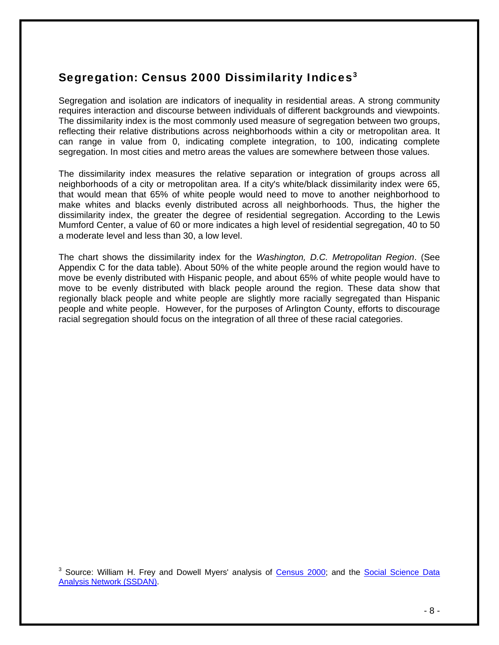# <span id="page-8-0"></span>Segregation: Census 2000 Dissimilarity Indices<sup>[3](#page-8-0)</sup>

Segregation and isolation are indicators of inequality in residential areas. A strong community requires interaction and discourse between individuals of different backgrounds and viewpoints. The dissimilarity index is the most commonly used measure of segregation between two groups, reflecting their relative distributions across neighborhoods within a city or metropolitan area. It can range in value from 0, indicating complete integration, to 100, indicating complete segregation. In most cities and metro areas the values are somewhere between those values.

The dissimilarity index measures the relative separation or integration of groups across all neighborhoods of a city or metropolitan area. If a city's white/black dissimilarity index were 65, that would mean that 65% of white people would need to move to another neighborhood to make whites and blacks evenly distributed across all neighborhoods. Thus, the higher the dissimilarity index, the greater the degree of residential segregation. According to the Lewis Mumford Center, a value of 60 or more indicates a high level of residential segregation, 40 to 50 a moderate level and less than 30, a low level.

The chart shows the dissimilarity index for the *Washington, D.C. Metropolitan Region*. (See Appendix C for the data table). About 50% of the white people around the region would have to move be evenly distributed with Hispanic people, and about 65% of white people would have to move to be evenly distributed with black people around the region. These data show that regionally black people and white people are slightly more racially segregated than Hispanic people and white people. However, for the purposes of Arlington County, efforts to discourage racial segregation should focus on the integration of all three of these racial categories.

<sup>3</sup> Source: William H. Frey and Dowell Myers' analysis of [Census 2000;](http://www.censusscope.org/aboutCensus2000.html) and the Social Science Data [Analysis Network \(SSDAN\).](http://www.ssdan.net/)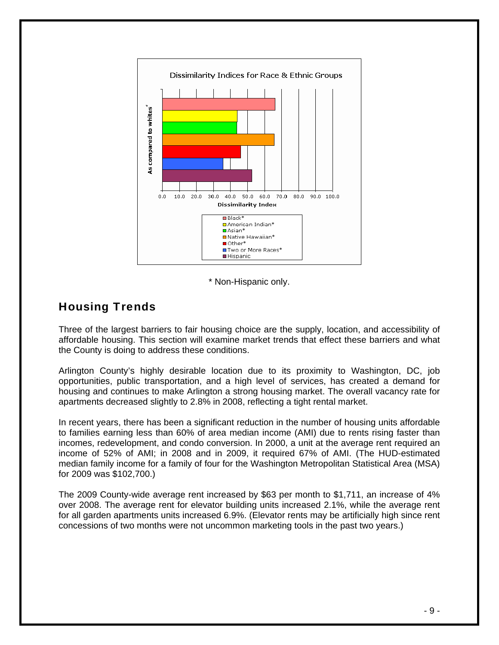

\* Non-Hispanic only.

## Housing Trends

Three of the largest barriers to fair housing choice are the supply, location, and accessibility of affordable housing. This section will examine market trends that effect these barriers and what the County is doing to address these conditions.

Arlington County's highly desirable location due to its proximity to Washington, DC, job opportunities, public transportation, and a high level of services, has created a demand for housing and continues to make Arlington a strong housing market. The overall vacancy rate for apartments decreased slightly to 2.8% in 2008, reflecting a tight rental market.

In recent years, there has been a significant reduction in the number of housing units affordable to families earning less than 60% of area median income (AMI) due to rents rising faster than incomes, redevelopment, and condo conversion. In 2000, a unit at the average rent required an income of 52% of AMI; in 2008 and in 2009, it required 67% of AMI. (The HUD-estimated median family income for a family of four for the Washington Metropolitan Statistical Area (MSA) for 2009 was \$102,700.)

The 2009 County-wide average rent increased by \$63 per month to \$1,711, an increase of 4% over 2008. The average rent for elevator building units increased 2.1%, while the average rent for all garden apartments units increased 6.9%. (Elevator rents may be artificially high since rent concessions of two months were not uncommon marketing tools in the past two years.)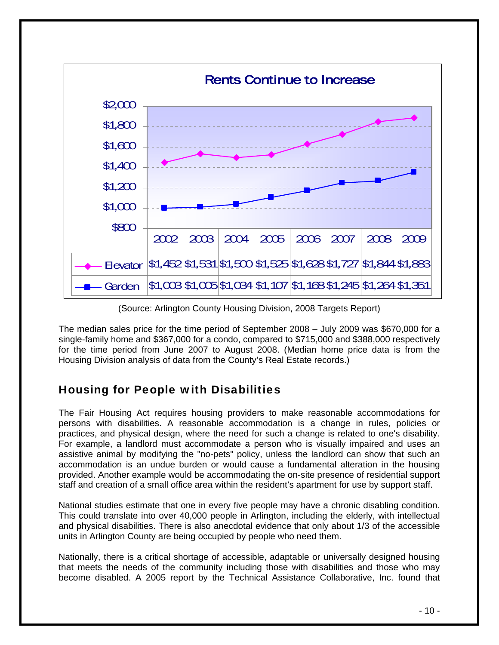

(Source: Arlington County Housing Division, 2008 Targets Report)

The median sales price for the time period of September 2008 – July 2009 was \$670,000 for a single-family home and \$367,000 for a condo, compared to \$715,000 and \$388,000 respectively for the time period from June 2007 to August 2008. (Median home price data is from the Housing Division analysis of data from the County's Real Estate records.)

# Housing for People with Disabilities

The Fair Housing Act requires housing providers to make reasonable accommodations for persons with disabilities. A reasonable accommodation is a change in rules, policies or practices, and physical design, where the need for such a change is related to one's disability. For example, a landlord must accommodate a person who is visually impaired and uses an assistive animal by modifying the "no-pets" policy, unless the landlord can show that such an accommodation is an undue burden or would cause a fundamental alteration in the housing provided. Another example would be accommodating the on-site presence of residential support staff and creation of a small office area within the resident's apartment for use by support staff.

National studies estimate that one in every five people may have a chronic disabling condition. This could translate into over 40,000 people in Arlington, including the elderly, with intellectual and physical disabilities. There is also anecdotal evidence that only about 1/3 of the accessible units in Arlington County are being occupied by people who need them.

Nationally, there is a critical shortage of accessible, adaptable or universally designed housing that meets the needs of the community including those with disabilities and those who may become disabled. A 2005 report by the Technical Assistance Collaborative, Inc. found that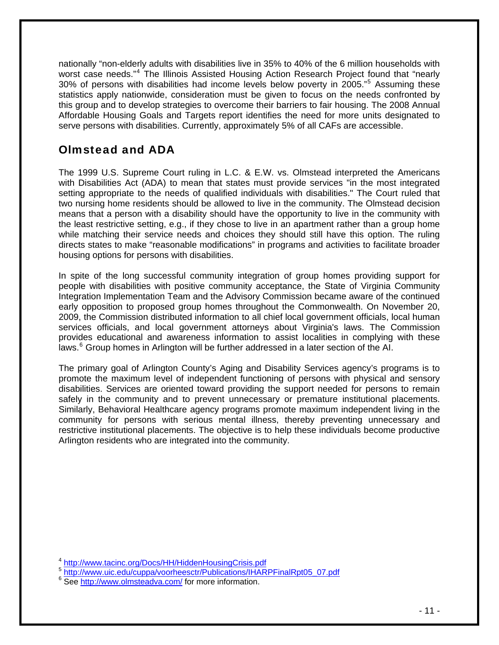<span id="page-11-0"></span>nationally "non-elderly adults with disabilities live in 35% to 40% of the 6 million households with worst case needs."<sup>[4](#page-11-0)</sup> The Illinois Assisted Housing Action Research Project found that "nearly 30% of persons with disabilities had income levels below poverty in 200[5](#page-11-0)."<sup>5</sup> Assuming these statistics apply nationwide, consideration must be given to focus on the needs confronted by this group and to develop strategies to overcome their barriers to fair housing. The 2008 Annual Affordable Housing Goals and Targets report identifies the need for more units designated to serve persons with disabilities. Currently, approximately 5% of all CAFs are accessible.

# Olmstead and ADA

The 1999 U.S. Supreme Court ruling in L.C. & E.W. vs. Olmstead interpreted the Americans with Disabilities Act (ADA) to mean that states must provide services "in the most integrated setting appropriate to the needs of qualified individuals with disabilities." The Court ruled that two nursing home residents should be allowed to live in the community. The Olmstead decision means that a person with a disability should have the opportunity to live in the community with the least restrictive setting, e.g., if they chose to live in an apartment rather than a group home while matching their service needs and choices they should still have this option. The ruling directs states to make "reasonable modifications" in programs and activities to facilitate broader housing options for persons with disabilities.

In spite of the long successful community integration of group homes providing support for people with disabilities with positive community acceptance, the State of Virginia Community Integration Implementation Team and the Advisory Commission became aware of the continued early opposition to proposed group homes throughout the Commonwealth. On November 20, 2009, the Commission distributed information to all chief local government officials, local human services officials, and local government attorneys about Virginia's laws. The Commission provides educational and awareness information to assist localities in complying with these laws.<sup>[6](#page-11-0)</sup> Group homes in Arlington will be further addressed in a later section of the AI.

The primary goal of Arlington County's Aging and Disability Services agency's programs is to promote the maximum level of independent functioning of persons with physical and sensory disabilities. Services are oriented toward providing the support needed for persons to remain safely in the community and to prevent unnecessary or premature institutional placements. Similarly, Behavioral Healthcare agency programs promote maximum independent living in the community for persons with serious mental illness, thereby preventing unnecessary and restrictive institutional placements. The objective is to help these individuals become productive Arlington residents who are integrated into the community.

<sup>5</sup> [http://www.uic.edu/cuppa/voorheesctr/Publications/IHARPFinalRpt05\\_07.pdf](http://www.uic.edu/cuppa/voorheesctr/Publications/IHARPFinalRpt05_07.pdf)

<sup>4</sup> <http://www.tacinc.org/Docs/HH/HiddenHousingCrisis.pdf>

<sup>&</sup>lt;sup>6</sup> See <http://www.olmsteadva.com/>for more information.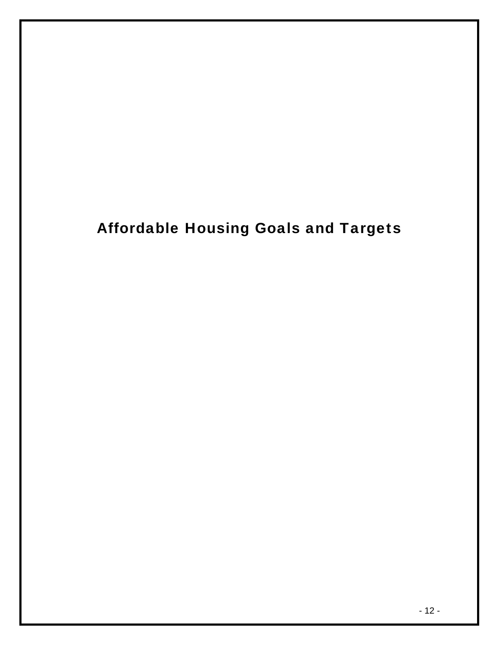# Affordable Housing Goals and Targets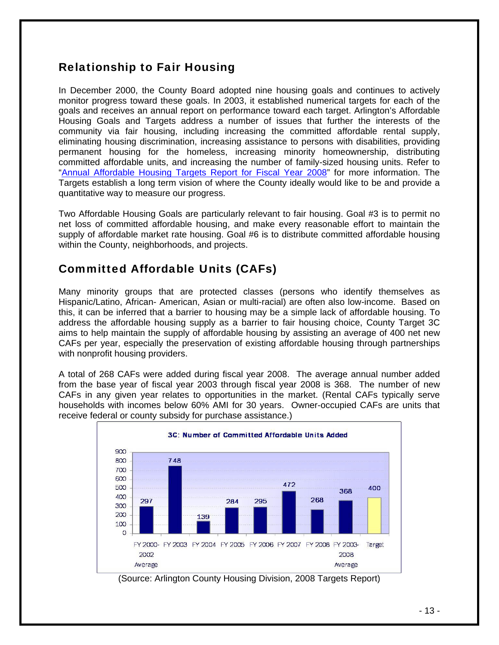# Relationship to Fair Housing

In December 2000, the County Board adopted nine housing goals and continues to actively monitor progress toward these goals. In 2003, it established numerical targets for each of the goals and receives an annual report on performance toward each target. Arlington's Affordable Housing Goals and Targets address a number of issues that further the interests of the community via fair housing, including increasing the committed affordable rental supply, eliminating housing discrimination, increasing assistance to persons with disabilities, providing permanent housing for the homeless, increasing minority homeownership, distributing committed affordable units, and increasing the number of family-sized housing units. Refer to "[Annual Affordable Housing Targets Report for Fiscal Year 2008](http://www.arlingtonva.us/departments/CPHD/housing/targets/CPHDHousingTargetsMain.aspx)" for more information. The Targets establish a long term vision of where the County ideally would like to be and provide a quantitative way to measure our progress.

Two Affordable Housing Goals are particularly relevant to fair housing. Goal #3 is to permit no net loss of committed affordable housing, and make every reasonable effort to maintain the supply of affordable market rate housing. Goal #6 is to distribute committed affordable housing within the County, neighborhoods, and projects.

# Committed Affordable Units (CAFs)

Many minority groups that are protected classes (persons who identify themselves as Hispanic/Latino, African- American, Asian or multi-racial) are often also low-income. Based on this, it can be inferred that a barrier to housing may be a simple lack of affordable housing. To address the affordable housing supply as a barrier to fair housing choice, County Target 3C aims to help maintain the supply of affordable housing by assisting an average of 400 net new CAFs per year, especially the preservation of existing affordable housing through partnerships with nonprofit housing providers.

A total of 268 CAFs were added during fiscal year 2008. The average annual number added from the base year of fiscal year 2003 through fiscal year 2008 is 368. The number of new CAFs in any given year relates to opportunities in the market. (Rental CAFs typically serve households with incomes below 60% AMI for 30 years. Owner-occupied CAFs are units that receive federal or county subsidy for purchase assistance.)



(Source: Arlington County Housing Division, 2008 Targets Report)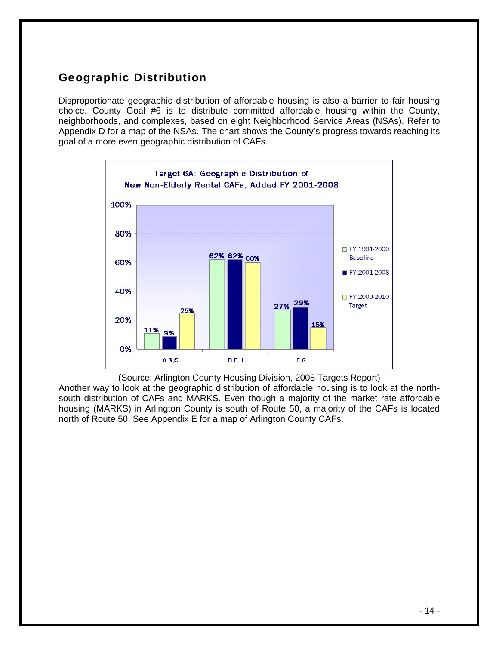# Geographic Distribution

Disproportionate geographic distribution of affordable housing is also a barrier to fair housing choice. County Goal #6 is to distribute committed affordable housing within the County, neighborhoods, and complexes, based on eight Neighborhood Service Areas (NSAs). Refer to Appendix D for a map of the NSAs. The chart shows the County's progress towards reaching its goal of a more even geographic distribution of CAFs.



(Source: Arlington County Housing Division, 2008 Targets Report) Another way to look at the geographic distribution of affordable housing is to look at the northsouth distribution of CAFs and MARKS. Even though a majority of the market rate affordable housing (MARKS) in Arlington County is south of Route 50, a majority of the CAFs is located north of Route 50. See Appendix E for a map of Arlington County CAFs.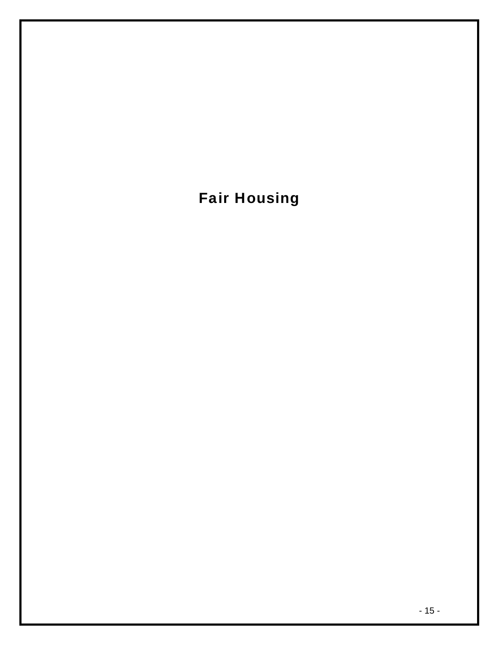# Fair Housing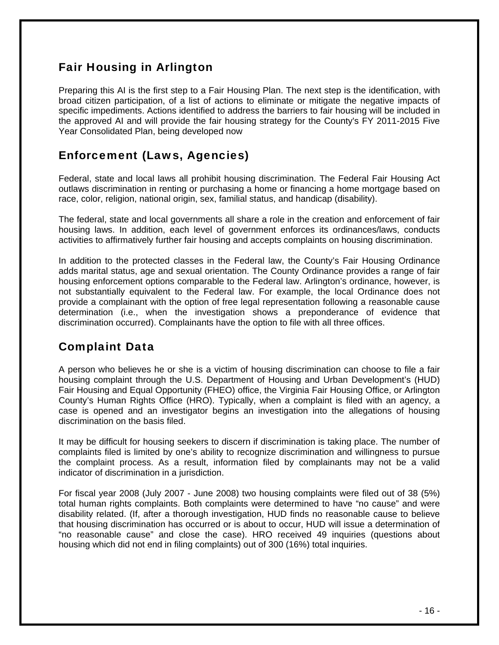# Fair Housing in Arlington

Preparing this AI is the first step to a Fair Housing Plan. The next step is the identification, with broad citizen participation, of a list of actions to eliminate or mitigate the negative impacts of specific impediments. Actions identified to address the barriers to fair housing will be included in the approved AI and will provide the fair housing strategy for the County's FY 2011-2015 Five Year Consolidated Plan, being developed now

# Enforcement (Laws, Agencies)

Federal, state and local laws all prohibit housing discrimination. The Federal Fair Housing Act outlaws discrimination in renting or purchasing a home or financing a home mortgage based on race, color, religion, national origin, sex, familial status, and handicap (disability).

The federal, state and local governments all share a role in the creation and enforcement of fair housing laws. In addition, each level of government enforces its ordinances/laws, conducts activities to affirmatively further fair housing and accepts complaints on housing discrimination.

In addition to the protected classes in the Federal law, the County's Fair Housing Ordinance adds marital status, age and sexual orientation. The County Ordinance provides a range of fair housing enforcement options comparable to the Federal law. Arlington's ordinance, however, is not substantially equivalent to the Federal law. For example, the local Ordinance does not provide a complainant with the option of free legal representation following a reasonable cause determination (i.e., when the investigation shows a preponderance of evidence that discrimination occurred). Complainants have the option to file with all three offices.

# Complaint Data

A person who believes he or she is a victim of housing discrimination can choose to file a fair housing complaint through the U.S. Department of Housing and Urban Development's (HUD) Fair Housing and Equal Opportunity (FHEO) office, the Virginia Fair Housing Office, or Arlington County's Human Rights Office (HRO). Typically, when a complaint is filed with an agency, a case is opened and an investigator begins an investigation into the allegations of housing discrimination on the basis filed.

It may be difficult for housing seekers to discern if discrimination is taking place. The number of complaints filed is limited by one's ability to recognize discrimination and willingness to pursue the complaint process. As a result, information filed by complainants may not be a valid indicator of discrimination in a jurisdiction.

For fiscal year 2008 (July 2007 - June 2008) two housing complaints were filed out of 38 (5%) total human rights complaints. Both complaints were determined to have "no cause" and were disability related. (If, after a thorough investigation, HUD finds no reasonable cause to believe that housing discrimination has occurred or is about to occur, HUD will issue a determination of "no reasonable cause" and close the case). HRO received 49 inquiries (questions about housing which did not end in filing complaints) out of 300 (16%) total inquiries.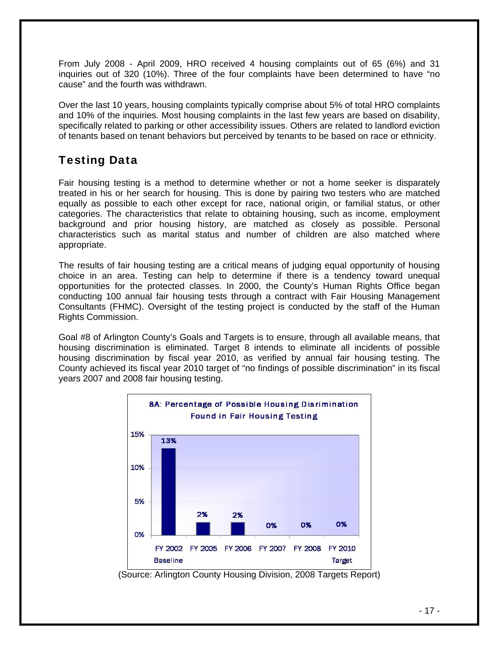From July 2008 - April 2009, HRO received 4 housing complaints out of 65 (6%) and 31 inquiries out of 320 (10%). Three of the four complaints have been determined to have "no cause" and the fourth was withdrawn.

Over the last 10 years, housing complaints typically comprise about 5% of total HRO complaints and 10% of the inquiries. Most housing complaints in the last few years are based on disability, specifically related to parking or other accessibility issues. Others are related to landlord eviction of tenants based on tenant behaviors but perceived by tenants to be based on race or ethnicity.

# Testing Data

Fair housing testing is a method to determine whether or not a home seeker is disparately treated in his or her search for housing. This is done by pairing two testers who are matched equally as possible to each other except for race, national origin, or familial status, or other categories. The characteristics that relate to obtaining housing, such as income, employment background and prior housing history, are matched as closely as possible. Personal characteristics such as marital status and number of children are also matched where appropriate.

The results of fair housing testing are a critical means of judging equal opportunity of housing choice in an area. Testing can help to determine if there is a tendency toward unequal opportunities for the protected classes. In 2000, the County's Human Rights Office began conducting 100 annual fair housing tests through a contract with Fair Housing Management Consultants (FHMC). Oversight of the testing project is conducted by the staff of the Human Rights Commission.

Goal #8 of Arlington County's Goals and Targets is to ensure, through all available means, that housing discrimination is eliminated. Target 8 intends to eliminate all incidents of possible housing discrimination by fiscal year 2010, as verified by annual fair housing testing. The County achieved its fiscal year 2010 target of "no findings of possible discrimination" in its fiscal years 2007 and 2008 fair housing testing.



(Source: Arlington County Housing Division, 2008 Targets Report)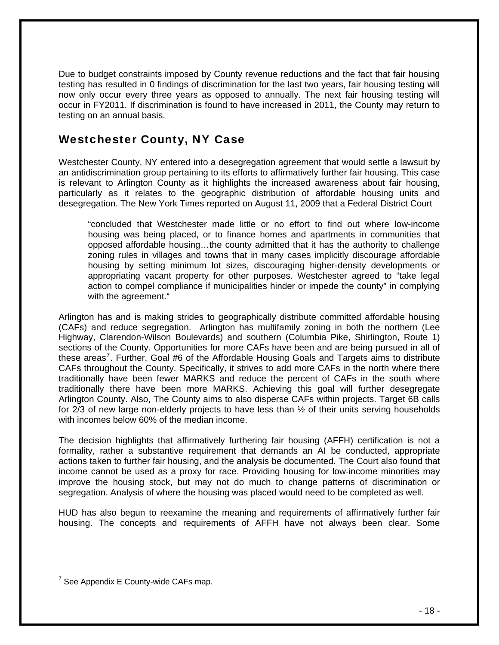<span id="page-18-0"></span>Due to budget constraints imposed by County revenue reductions and the fact that fair housing testing has resulted in 0 findings of discrimination for the last two years, fair housing testing will now only occur every three years as opposed to annually. The next fair housing testing will occur in FY2011. If discrimination is found to have increased in 2011, the County may return to testing on an annual basis.

# Westchester County, NY Case

Westchester County, NY entered into a desegregation agreement that would settle a lawsuit by an antidiscrimination group pertaining to its efforts to affirmatively further fair housing. This case is relevant to Arlington County as it highlights the increased awareness about fair housing, particularly as it relates to the geographic distribution of affordable housing units and desegregation. The New York Times reported on August 11, 2009 that a Federal District Court

"concluded that Westchester made little or no effort to find out where low-income housing was being placed, or to finance homes and apartments in communities that opposed affordable housing…the county admitted that it has the authority to challenge zoning rules in villages and towns that in many cases implicitly discourage affordable housing by setting minimum lot sizes, discouraging higher-density developments or appropriating vacant property for other purposes. Westchester agreed to "take legal action to compel compliance if municipalities hinder or impede the county" in complying with the agreement."

Arlington has and is making strides to geographically distribute committed affordable housing (CAFs) and reduce segregation. Arlington has multifamily zoning in both the northern (Lee Highway, Clarendon-Wilson Boulevards) and southern (Columbia Pike, Shirlington, Route 1) sections of the County. Opportunities for more CAFs have been and are being pursued in all of these areas<sup>[7](#page-18-0)</sup>. Further, Goal #6 of the Affordable Housing Goals and Targets aims to distribute CAFs throughout the County. Specifically, it strives to add more CAFs in the north where there traditionally have been fewer MARKS and reduce the percent of CAFs in the south where traditionally there have been more MARKS. Achieving this goal will further desegregate Arlington County. Also, The County aims to also disperse CAFs within projects. Target 6B calls for  $2/3$  of new large non-elderly projects to have less than  $\frac{1}{2}$  of their units serving households with incomes below 60% of the median income.

The decision highlights that affirmatively furthering fair housing (AFFH) certification is not a formality, rather a substantive requirement that demands an AI be conducted, appropriate actions taken to further fair housing, and the analysis be documented. The Court also found that income cannot be used as a proxy for race. Providing housing for low‐income minorities may improve the housing stock, but may not do much to change patterns of discrimination or segregation. Analysis of where the housing was placed would need to be completed as well.

HUD has also begun to reexamine the meaning and requirements of affirmatively further fair housing. The concepts and requirements of AFFH have not always been clear. Some

 $7$  See Appendix E County-wide CAFs map.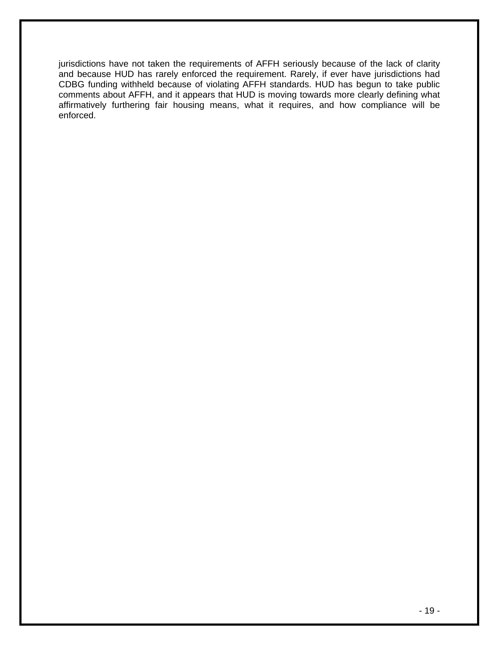jurisdictions have not taken the requirements of AFFH seriously because of the lack of clarity and because HUD has rarely enforced the requirement. Rarely, if ever have jurisdictions had CDBG funding withheld because of violating AFFH standards. HUD has begun to take public comments about AFFH, and it appears that HUD is moving towards more clearly defining what affirmatively furthering fair housing means, what it requires, and how compliance will be enforced.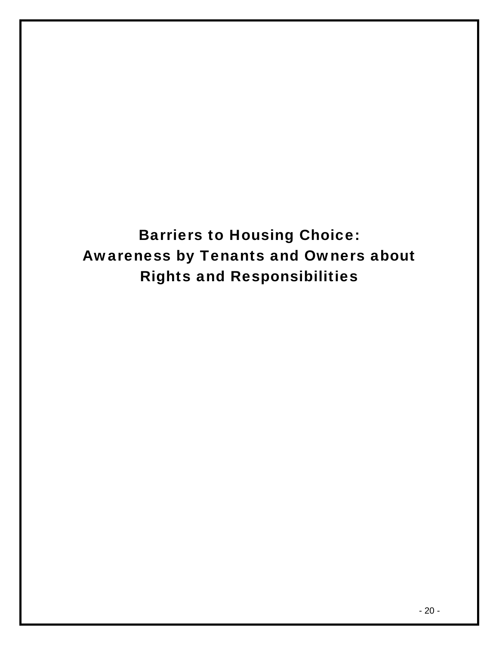Barriers to Housing Choice: Awareness by Tenants and Owners about Rights and Responsibilities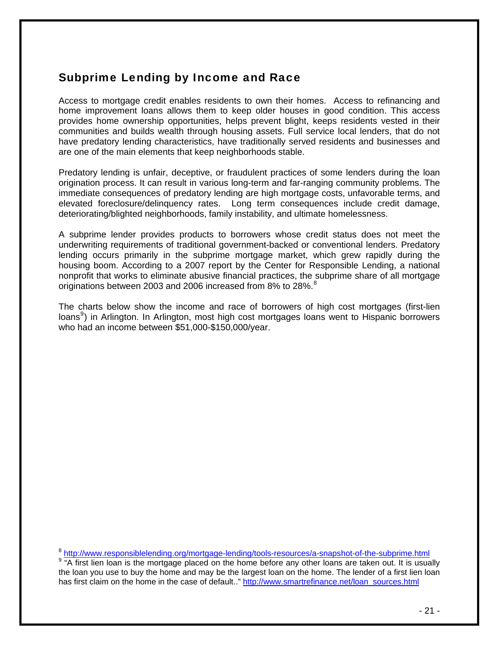# <span id="page-21-0"></span>Subprime Lending by Income and Race

Access to mortgage credit enables residents to own their homes. Access to refinancing and home improvement loans allows them to keep older houses in good condition. This access provides home ownership opportunities, helps prevent blight, keeps residents vested in their communities and builds wealth through housing assets. Full service local lenders, that do not have predatory lending characteristics, have traditionally served residents and businesses and are one of the main elements that keep neighborhoods stable.

Predatory lending is unfair, deceptive, or fraudulent practices of some lenders during the loan origination process. It can result in various long-term and far-ranging community problems. The immediate consequences of predatory lending are high mortgage costs, unfavorable terms, and elevated foreclosure/delinquency rates. Long term consequences include credit damage, deteriorating/blighted neighborhoods, family instability, and ultimate homelessness.

A subprime lender provides products to borrowers whose credit status does not meet the underwriting requirements of traditional government-backed or conventional lenders. Predatory lending occurs primarily in the subprime mortgage market, which grew rapidly during the housing boom. According to a 2007 report by the Center for Responsible Lending, a national nonprofit that works to eliminate abusive financial practices, the subprime share of all mortgage originations between 2003 and 2006 increased from [8](#page-21-0)% to 28%.<sup>8</sup>

The charts below show the income and race of borrowers of high cost mortgages (first-lien loans<sup>[9](#page-21-0)</sup>) in Arlington. In Arlington, most high cost mortgages loans went to Hispanic borrowers who had an income between \$51,000-\$150,000/year.

<sup>8</sup> <http://www.responsiblelending.org/mortgage-lending/tools-resources/a-snapshot-of-the-subprime.html> <sup>9</sup> "A first lien loan is the mortgage placed on the home before any other loans are taken out. It is usually the loan you use to buy the home and may be the largest loan on the home. The lender of a first lien loan has first claim on the home in the case of default.." [http://www.smartrefinance.net/loan\\_sources.html](http://www.smartrefinance.net/loan_sources.html)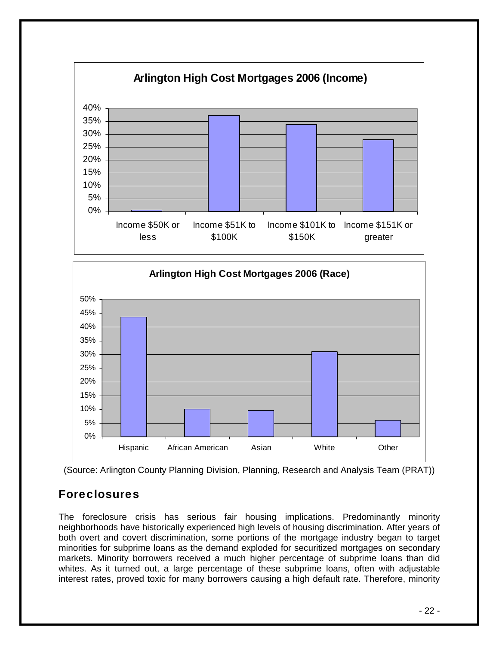





# Foreclosures

The foreclosure crisis has serious fair housing implications. Predominantly minority neighborhoods have historically experienced high levels of housing discrimination. After years of both overt and covert discrimination, some portions of the mortgage industry began to target minorities for subprime loans as the demand exploded for securitized mortgages on secondary markets. Minority borrowers received a much higher percentage of subprime loans than did whites. As it turned out, a large percentage of these subprime loans, often with adjustable interest rates, proved toxic for many borrowers causing a high default rate. Therefore, minority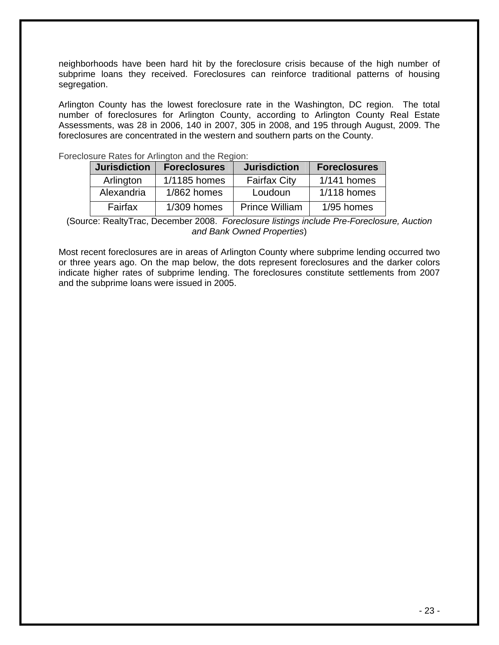neighborhoods have been hard hit by the foreclosure crisis because of the high number of subprime loans they received. Foreclosures can reinforce traditional patterns of housing segregation.

Arlington County has the lowest foreclosure rate in the Washington, DC region. The total number of foreclosures for Arlington County, according to Arlington County Real Estate Assessments, was 28 in 2006, 140 in 2007, 305 in 2008, and 195 through August, 2009. The foreclosures are concentrated in the western and southern parts on the County.

| Foreclosure Rates for Arlington and the Region: |  |  |  |
|-------------------------------------------------|--|--|--|
|                                                 |  |  |  |

| <b>Jurisdiction</b> | <b>Foreclosures</b> | <b>Jurisdiction</b>   | <b>Foreclosures</b> |
|---------------------|---------------------|-----------------------|---------------------|
| Arlington           | 1/1185 homes        | <b>Fairfax City</b>   | $1/141$ homes       |
| Alexandria          | $1/862$ homes       | Loudoun               | $1/118$ homes       |
| Fairfax             | $1/309$ homes       | <b>Prince William</b> | 1/95 homes          |

(Source: RealtyTrac, December 2008. *Foreclosure listings include Pre-Foreclosure, Auction and Bank Owned Properties*)

Most recent foreclosures are in areas of Arlington County where subprime lending occurred two or three years ago. On the map below, the dots represent foreclosures and the darker colors indicate higher rates of subprime lending. The foreclosures constitute settlements from 2007 and the subprime loans were issued in 2005.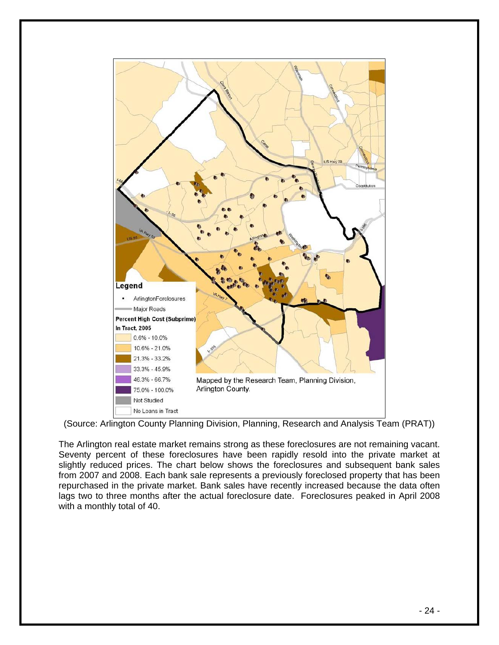

(Source: Arlington County Planning Division, Planning, Research and Analysis Team (PRAT))

The Arlington real estate market remains strong as these foreclosures are not remaining vacant. Seventy percent of these foreclosures have been rapidly resold into the private market at slightly reduced prices. The chart below shows the foreclosures and subsequent bank sales from 2007 and 2008. Each bank sale represents a previously foreclosed property that has been repurchased in the private market. Bank sales have recently increased because the data often lags two to three months after the actual foreclosure date. Foreclosures peaked in April 2008 with a monthly total of 40.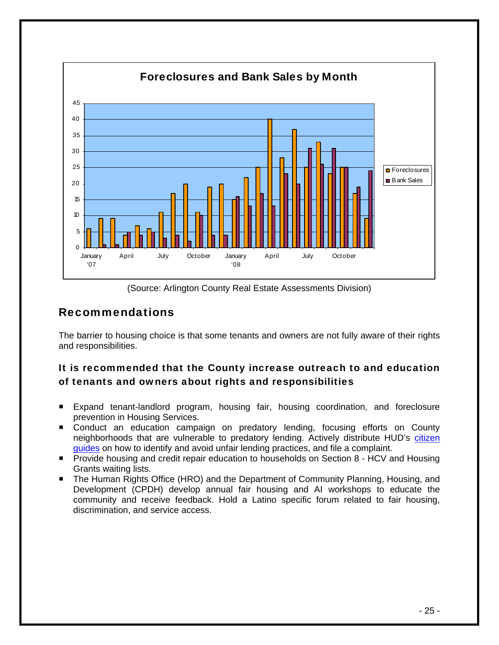

(Source: Arlington County Real Estate Assessments Division)

# Recommendations

The barrier to housing choice is that some tenants and owners are not fully aware of their rights and responsibilities.

## It is recommended that the County increase outreach to and education of tenants and owners about rights and responsibilities

- Expand tenant-landlord program, housing fair, housing coordination, and foreclosure prevention in Housing Services.
- Conduct an education campaign on predatory lending, focusing efforts on County neighborhoods that are vulnerable to predatory lending. Actively distribute HUD's [citizen](http://www.hud.gov/offices/adm/hudclips/forms/files/1686.pdf) [guides](http://www.hud.gov/offices/adm/hudclips/forms/files/903-1.pdf) on how to identify and avoid unfair lending practices, and file a complaint.
- Provide housing and credit repair education to households on Section 8 HCV and Housing Grants waiting lists.
- The Human Rights Office (HRO) and the Department of Community Planning, Housing, and Development (CPDH) develop annual fair housing and AI workshops to educate the community and receive feedback. Hold a Latino specific forum related to fair housing, discrimination, and service access.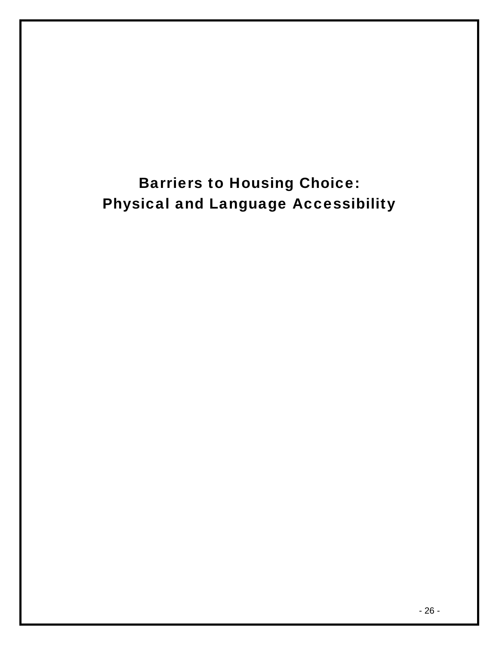# Barriers to Housing Choice: Physical and Language Accessibility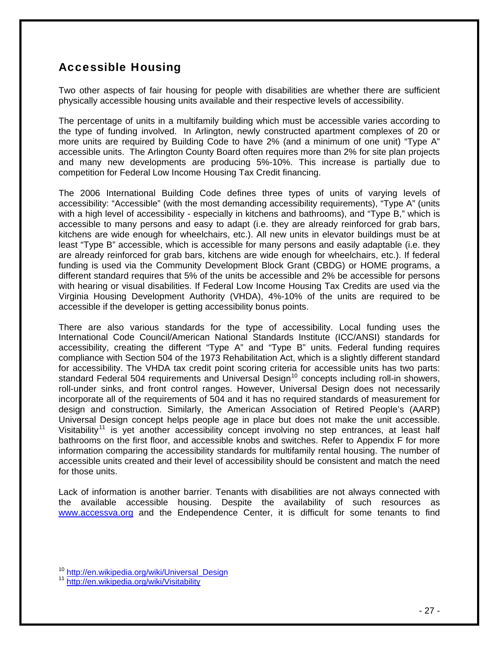# <span id="page-27-0"></span>Accessible Housing

Two other aspects of fair housing for people with disabilities are whether there are sufficient physically accessible housing units available and their respective levels of accessibility.

The percentage of units in a multifamily building which must be accessible varies according to the type of funding involved. In Arlington, newly constructed apartment complexes of 20 or more units are required by Building Code to have 2% (and a minimum of one unit) "Type A" accessible units. The Arlington County Board often requires more than 2% for site plan projects and many new developments are producing 5%-10%. This increase is partially due to competition for Federal Low Income Housing Tax Credit financing.

The 2006 International Building Code defines three types of units of varying levels of accessibility: "Accessible" (with the most demanding accessibility requirements), "Type A" (units with a high level of accessibility - especially in kitchens and bathrooms), and "Type B," which is accessible to many persons and easy to adapt (i.e. they are already reinforced for grab bars, kitchens are wide enough for wheelchairs, etc.). All new units in elevator buildings must be at least "Type B" accessible, which is accessible for many persons and easily adaptable (i.e. they are already reinforced for grab bars, kitchens are wide enough for wheelchairs, etc.). If federal funding is used via the Community Development Block Grant (CBDG) or HOME programs, a different standard requires that 5% of the units be accessible and 2% be accessible for persons with hearing or visual disabilities. If Federal Low Income Housing Tax Credits are used via the Virginia Housing Development Authority (VHDA), 4%-10% of the units are required to be accessible if the developer is getting accessibility bonus points.

There are also various standards for the type of accessibility. Local funding uses the International Code Council/American National Standards Institute (ICC/ANSI) standards for accessibility, creating the different "Type A" and "Type B" units. Federal funding requires compliance with Section 504 of the 1973 Rehabilitation Act, which is a slightly different standard for accessibility. The VHDA tax credit point scoring criteria for accessible units has two parts: standard Federal 504 requirements and Universal Design<sup>[10](#page-27-0)</sup> concepts including roll-in showers, roll-under sinks, and front control ranges. However, Universal Design does not necessarily incorporate all of the requirements of 504 and it has no required standards of measurement for design and construction. Similarly, the American Association of Retired People's (AARP) Universal Design concept helps people age in place but does not make the unit accessible. Visitability<sup>[11](#page-27-0)</sup> is yet another accessibility concept involving no step entrances, at least half bathrooms on the first floor, and accessible knobs and switches. Refer to Appendix F for more information comparing the accessibility standards for multifamily rental housing. The number of accessible units created and their level of accessibility should be consistent and match the need for those units.

Lack of information is another barrier. Tenants with disabilities are not always connected with the available accessible housing. Despite the availability of such resources as [www.accessva.org](http://www.accessva.org/) and the Endependence Center, it is difficult for some tenants to find

<sup>&</sup>lt;sup>10</sup> [http://en.wikipedia.org/wiki/Universal\\_Design](http://en.wikipedia.org/wiki/Universal_Design)

<sup>11</sup> <http://en.wikipedia.org/wiki/Visitability>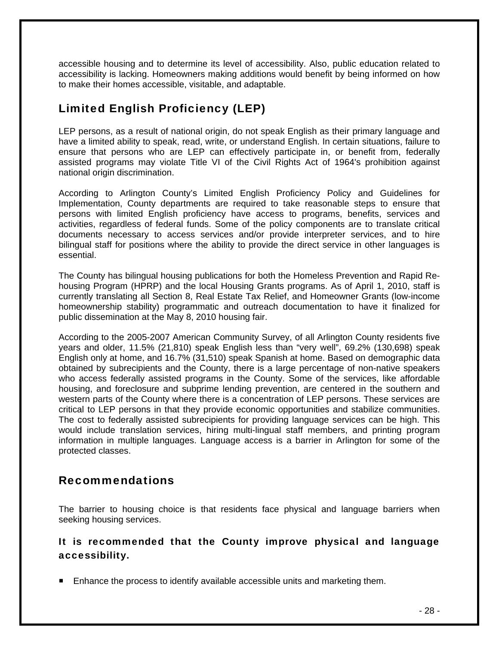accessible housing and to determine its level of accessibility. Also, public education related to accessibility is lacking. Homeowners making additions would benefit by being informed on how to make their homes accessible, visitable, and adaptable.

# Limited English Proficiency (LEP)

LEP persons, as a result of national origin, do not speak English as their primary language and have a limited ability to speak, read, write, or understand English. In certain situations, failure to ensure that persons who are LEP can effectively participate in, or benefit from, federally assisted programs may violate Title VI of the Civil Rights Act of 1964's prohibition against national origin discrimination.

According to Arlington County's Limited English Proficiency Policy and Guidelines for Implementation, County departments are required to take reasonable steps to ensure that persons with limited English proficiency have access to programs, benefits, services and activities, regardless of federal funds. Some of the policy components are to translate critical documents necessary to access services and/or provide interpreter services, and to hire bilingual staff for positions where the ability to provide the direct service in other languages is essential.

The County has bilingual housing publications for both the Homeless Prevention and Rapid Rehousing Program (HPRP) and the local Housing Grants programs. As of April 1, 2010, staff is currently translating all Section 8, Real Estate Tax Relief, and Homeowner Grants (low-income homeownership stability) programmatic and outreach documentation to have it finalized for public dissemination at the May 8, 2010 housing fair.

According to the 2005-2007 American Community Survey, of all Arlington County residents five years and older, 11.5% (21,810) speak English less than "very well", 69.2% (130,698) speak English only at home, and 16.7% (31,510) speak Spanish at home. Based on demographic data obtained by subrecipients and the County, there is a large percentage of non-native speakers who access federally assisted programs in the County. Some of the services, like affordable housing, and foreclosure and subprime lending prevention, are centered in the southern and western parts of the County where there is a concentration of LEP persons. These services are critical to LEP persons in that they provide economic opportunities and stabilize communities. The cost to federally assisted subrecipients for providing language services can be high. This would include translation services, hiring multi-lingual staff members, and printing program information in multiple languages. Language access is a barrier in Arlington for some of the protected classes.

# Recommendations

The barrier to housing choice is that residents face physical and language barriers when seeking housing services.

### It is recommended that the County improve physical and language accessibility.

**Enhance the process to identify available accessible units and marketing them.**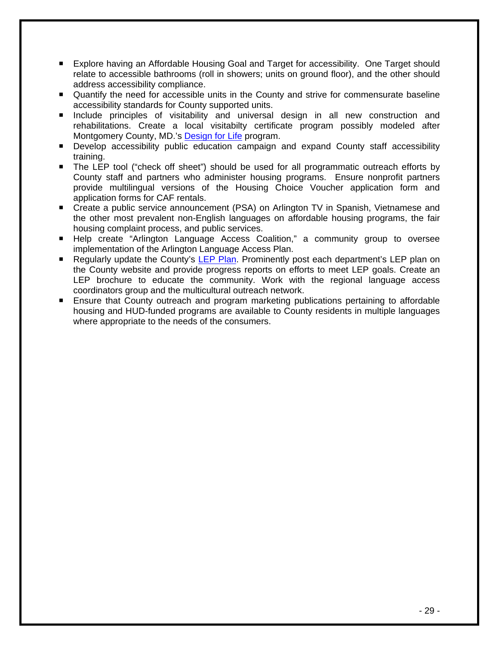- Explore having an Affordable Housing Goal and Target for accessibility. One Target should relate to accessible bathrooms (roll in showers; units on ground floor), and the other should address accessibility compliance.
- Quantify the need for accessible units in the County and strive for commensurate baseline accessibility standards for County supported units.
- **Include principles of visitability and universal design in all new construction and** rehabilitations. Create a local visitabilty certificate program possibly modeled after Montgomery County, MD.'s [Design for Life](http://www.montgomerycountymd.gov/hhstmpl.asp?url=/content/hhs/ads/DesignForLife/DesignForLifeMontgomery.asp) program.
- Develop accessibility public education campaign and expand County staff accessibility training.
- The LEP tool ("check off sheet") should be used for all programmatic outreach efforts by County staff and partners who administer housing programs. Ensure nonprofit partners provide multilingual versions of the Housing Choice Voucher application form and application forms for CAF rentals.
- Create a public service announcement (PSA) on Arlington TV in Spanish, Vietnamese and the other most prevalent non-English languages on affordable housing programs, the fair housing complaint process, and public services.
- Help create "Arlington Language Access Coalition," a community group to oversee implementation of the Arlington Language Access Plan.
- **E** Regularly update the County's [LEP Plan](http://www.vdh.state.va.us/epr/pdf/MaySeminar/Health_Director_Sessions/Serving_Persons_with_Limited_English_Proficiency.pdf). Prominently post each department's LEP plan on the County website and provide progress reports on efforts to meet LEP goals. Create an LEP brochure to educate the community. Work with the regional language access coordinators group and the multicultural outreach network.
- **Ensure that County outreach and program marketing publications pertaining to affordable** housing and HUD-funded programs are available to County residents in multiple languages where appropriate to the needs of the consumers.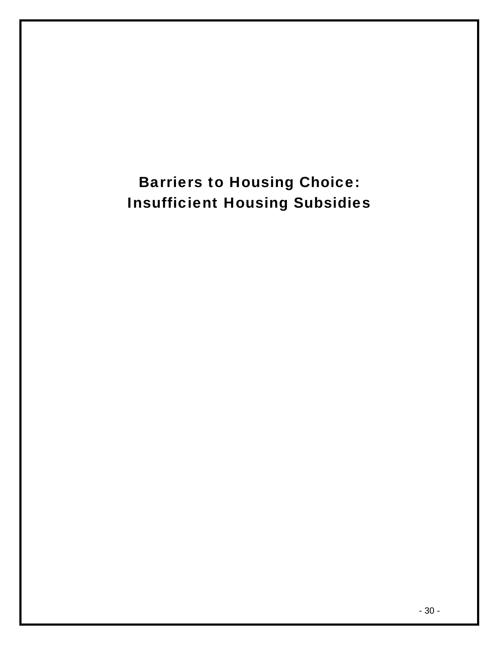# Barriers to Housing Choice: Insufficient Housing Subsidies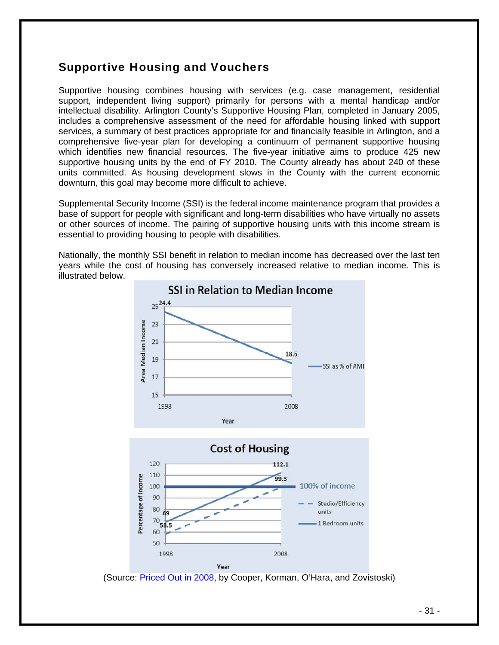# Supportive Housing and Vouchers

Supportive housing combines housing with services (e.g. case management, residential support, independent living support) primarily for persons with a mental handicap and/or intellectual disability. Arlington County's Supportive Housing Plan, completed in January 2005, includes a comprehensive assessment of the need for affordable housing linked with support services, a summary of best practices appropriate for and financially feasible in Arlington, and a comprehensive five-year plan for developing a continuum of permanent supportive housing which identifies new financial resources. The five-year initiative aims to produce 425 new supportive housing units by the end of FY 2010. The County already has about 240 of these units committed. As housing development slows in the County with the current economic downturn, this goal may become more difficult to achieve.

Supplemental Security Income (SSI) is the federal income maintenance program that provides a base of support for people with significant and long-term disabilities who have virtually no assets or other sources of income. The pairing of supportive housing units with this income stream is essential to providing housing to people with disabilities.

Nationally, the monthly SSI benefit in relation to median income has decreased over the last ten years while the cost of housing has conversely increased relative to median income. This is illustrated below.



<sup>(</sup>Source: [Priced Out in 2008,](http://www.tacinc.org/Docs/HH/Priced%20Out%202008.pdf) by Cooper, Korman, O'Hara, and Zovistoski)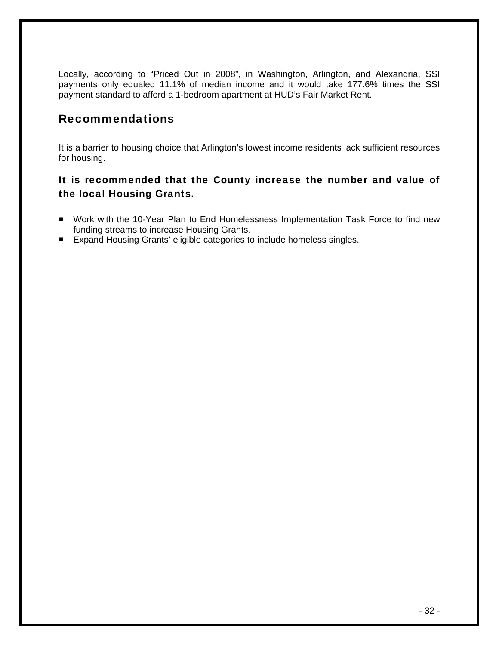Locally, according to "Priced Out in 2008", in Washington, Arlington, and Alexandria, SSI payments only equaled 11.1% of median income and it would take 177.6% times the SSI payment standard to afford a 1-bedroom apartment at HUD's Fair Market Rent.

## Recommendations

It is a barrier to housing choice that Arlington's lowest income residents lack sufficient resources for housing.

## It is recommended that the County increase the number and value of the local Housing Grants.

- Work with the 10-Year Plan to End Homelessness Implementation Task Force to find new funding streams to increase Housing Grants.
- Expand Housing Grants' eligible categories to include homeless singles.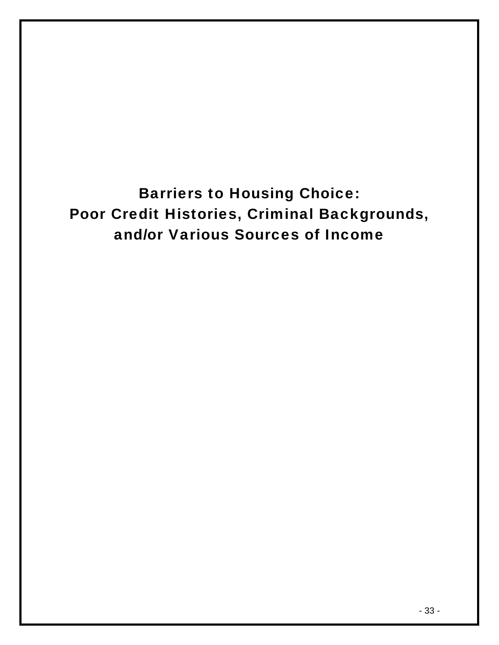Barriers to Housing Choice: Poor Credit Histories, Criminal Backgrounds, and/or Various Sources of Income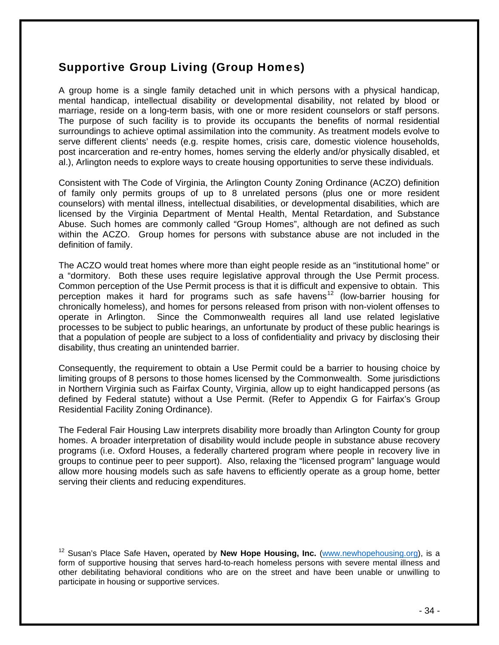# <span id="page-34-0"></span>Supportive Group Living (Group Homes)

A group home is a single family detached unit in which persons with a physical handicap, mental handicap, intellectual disability or developmental disability, not related by blood or marriage, reside on a long-term basis, with one or more resident counselors or staff persons. The purpose of such facility is to provide its occupants the benefits of normal residential surroundings to achieve optimal assimilation into the community. As treatment models evolve to serve different clients' needs (e.g. respite homes, crisis care, domestic violence households, post incarceration and re-entry homes, homes serving the elderly and/or physically disabled, et al.), Arlington needs to explore ways to create housing opportunities to serve these individuals.

Consistent with The Code of Virginia, the Arlington County Zoning Ordinance (ACZO) definition of family only permits groups of up to 8 unrelated persons (plus one or more resident counselors) with mental illness, intellectual disabilities, or developmental disabilities, which are licensed by the Virginia Department of Mental Health, Mental Retardation, and Substance Abuse. Such homes are commonly called "Group Homes", although are not defined as such within the ACZO. Group homes for persons with substance abuse are not included in the definition of family.

The ACZO would treat homes where more than eight people reside as an "institutional home" or a "dormitory. Both these uses require legislative approval through the Use Permit process. Common perception of the Use Permit process is that it is difficult and expensive to obtain. This perception makes it hard for programs such as safe havens<sup>[12](#page-34-0)</sup> (low-barrier housing for chronically homeless), and homes for persons released from prison with non-violent offenses to operate in Arlington. Since the Commonwealth requires all land use related legislative processes to be subject to public hearings, an unfortunate by product of these public hearings is that a population of people are subject to a loss of confidentiality and privacy by disclosing their disability, thus creating an unintended barrier.

Consequently, the requirement to obtain a Use Permit could be a barrier to housing choice by limiting groups of 8 persons to those homes licensed by the Commonwealth. Some jurisdictions in Northern Virginia such as Fairfax County, Virginia, allow up to eight handicapped persons (as defined by Federal statute) without a Use Permit. (Refer to Appendix G for Fairfax's Group Residential Facility Zoning Ordinance).

The Federal Fair Housing Law interprets disability more broadly than Arlington County for group homes. A broader interpretation of disability would include people in substance abuse recovery programs (i.e. Oxford Houses, a federally chartered program where people in recovery live in groups to continue peer to peer support). Also, relaxing the "licensed program" language would allow more housing models such as safe havens to efficiently operate as a group home, better serving their clients and reducing expenditures.

<sup>12</sup> Susan's Place Safe Haven**,** operated by **New Hope Housing, Inc.** ([www.newhopehousing.org\)](http://www.newhopehousing.org/), is a form of supportive housing that serves hard-to-reach homeless persons with severe mental illness and other debilitating behavioral conditions who are on the street and have been unable or unwilling to participate in housing or supportive services.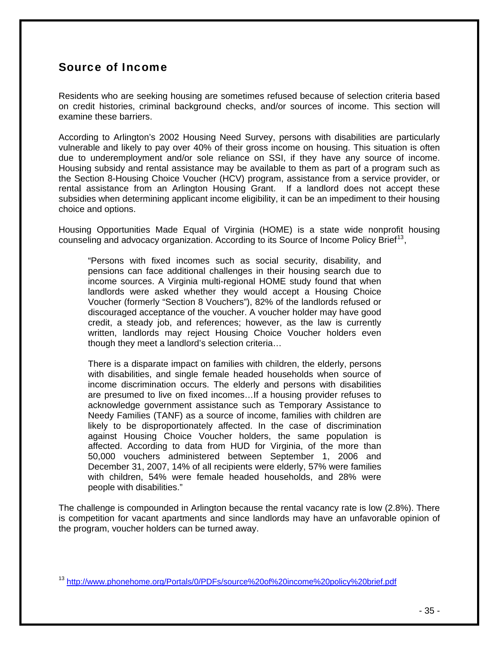# <span id="page-35-0"></span>Source of Income

Residents who are seeking housing are sometimes refused because of selection criteria based on credit histories, criminal background checks, and/or sources of income. This section will examine these barriers.

According to Arlington's 2002 Housing Need Survey, persons with disabilities are particularly vulnerable and likely to pay over 40% of their gross income on housing. This situation is often due to underemployment and/or sole reliance on SSI, if they have any source of income. Housing subsidy and rental assistance may be available to them as part of a program such as the Section 8-Housing Choice Voucher (HCV) program, assistance from a service provider, or rental assistance from an Arlington Housing Grant. If a landlord does not accept these subsidies when determining applicant income eligibility, it can be an impediment to their housing choice and options.

Housing Opportunities Made Equal of Virginia (HOME) is a state wide nonprofit housing counseling and advocacy organization. According to its Source of Income Policy Brief<sup>[13](#page-35-0)</sup>,

"Persons with fixed incomes such as social security, disability, and pensions can face additional challenges in their housing search due to income sources. A Virginia multi-regional HOME study found that when landlords were asked whether they would accept a Housing Choice Voucher (formerly "Section 8 Vouchers"), 82% of the landlords refused or discouraged acceptance of the voucher. A voucher holder may have good credit, a steady job, and references; however, as the law is currently written, landlords may reject Housing Choice Voucher holders even though they meet a landlord's selection criteria…

There is a disparate impact on families with children, the elderly, persons with disabilities, and single female headed households when source of income discrimination occurs. The elderly and persons with disabilities are presumed to live on fixed incomes…If a housing provider refuses to acknowledge government assistance such as Temporary Assistance to Needy Families (TANF) as a source of income, families with children are likely to be disproportionately affected. In the case of discrimination against Housing Choice Voucher holders, the same population is affected. According to data from HUD for Virginia, of the more than 50,000 vouchers administered between September 1, 2006 and December 31, 2007, 14% of all recipients were elderly, 57% were families with children, 54% were female headed households, and 28% were people with disabilities."

The challenge is compounded in Arlington because the rental vacancy rate is low (2.8%). There is competition for vacant apartments and since landlords may have an unfavorable opinion of the program, voucher holders can be turned away.

<sup>13</sup> <http://www.phonehome.org/Portals/0/PDFs/source%20of%20income%20policy%20brief.pdf>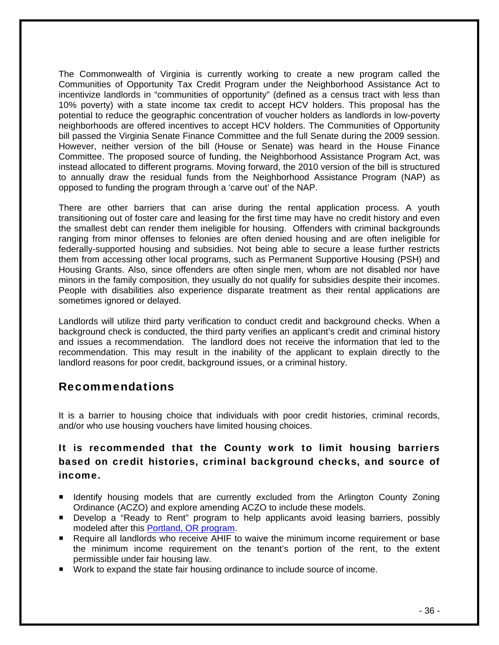The Commonwealth of Virginia is currently working to create a new program called the Communities of Opportunity Tax Credit Program under the Neighborhood Assistance Act to incentivize landlords in "communities of opportunity" (defined as a census tract with less than 10% poverty) with a state income tax credit to accept HCV holders. This proposal has the potential to reduce the geographic concentration of voucher holders as landlords in low-poverty neighborhoods are offered incentives to accept HCV holders. The Communities of Opportunity bill passed the Virginia Senate Finance Committee and the full Senate during the 2009 session. However, neither version of the bill (House or Senate) was heard in the House Finance Committee. The proposed source of funding, the Neighborhood Assistance Program Act, was instead allocated to different programs. Moving forward, the 2010 version of the bill is structured to annually draw the residual funds from the Neighborhood Assistance Program (NAP) as opposed to funding the program through a 'carve out' of the NAP.

There are other barriers that can arise during the rental application process. A youth transitioning out of foster care and leasing for the first time may have no credit history and even the smallest debt can render them ineligible for housing. Offenders with criminal backgrounds ranging from minor offenses to felonies are often denied housing and are often ineligible for federally-supported housing and subsidies. Not being able to secure a lease further restricts them from accessing other local programs, such as Permanent Supportive Housing (PSH) and Housing Grants. Also, since offenders are often single men, whom are not disabled nor have minors in the family composition, they usually do not qualify for subsidies despite their incomes. People with disabilities also experience disparate treatment as their rental applications are sometimes ignored or delayed.

Landlords will utilize third party verification to conduct credit and background checks. When a background check is conducted, the third party verifies an applicant's credit and criminal history and issues a recommendation. The landlord does not receive the information that led to the recommendation. This may result in the inability of the applicant to explain directly to the landlord reasons for poor credit, background issues, or a criminal history.

# Recommendations

It is a barrier to housing choice that individuals with poor credit histories, criminal records, and/or who use housing vouchers have limited housing choices.

## It is recommended that the County work to limit housing barriers based on credit histories, criminal background checks, and source of income.

- **If Identify housing models that are currently excluded from the Arlington County Zoning** Ordinance (ACZO) and explore amending ACZO to include these models.
- Develop a "Ready to Rent" program to help applicants avoid leasing barriers, possibly modeled after this [Portland, OR program](http://www.readytorent.org/index.html).
- Require all landlords who receive AHIF to waive the minimum income requirement or base the minimum income requirement on the tenant's portion of the rent, to the extent permissible under fair housing law.
- Work to expand the state fair housing ordinance to include source of income.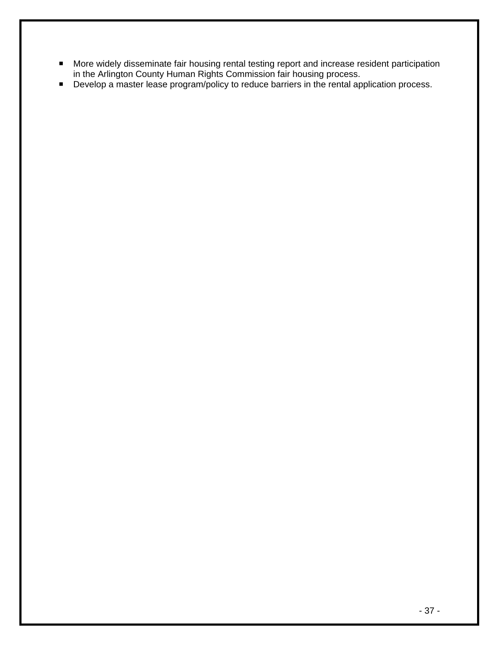- **More widely disseminate fair housing rental testing report and increase resident participation** in the Arlington County Human Rights Commission fair housing process.
- **Develop a master lease program/policy to reduce barriers in the rental application process.**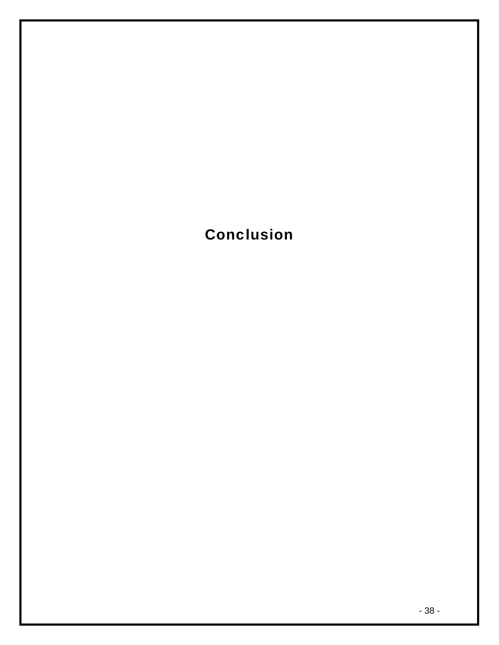Conclusion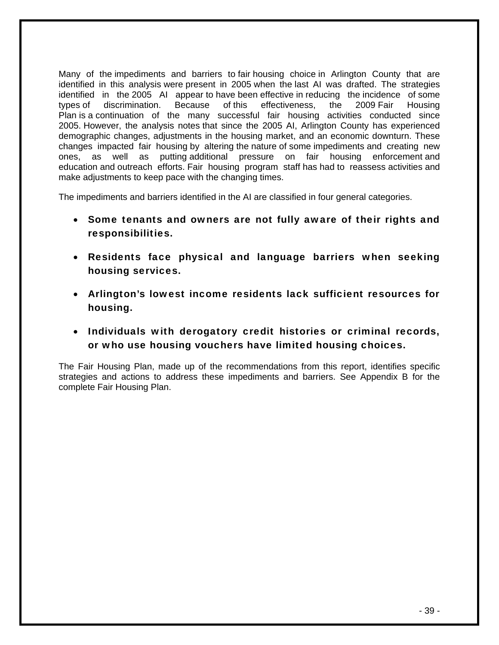Many of the impediments and barriers to fair housing choice in Arlington County that are identified in this analysis were present in 2005 when the last AI was drafted. The strategies identified in the 2005 AI appear to have been effective in reducing the incidence of some types of discrimination. Because of this effectiveness, the 2009 Fair Housing Plan is a continuation of the many successful fair housing activities conducted since 2005. However, the analysis notes that since the 2005 AI, Arlington County has experienced demographic changes, adjustments in the housing market, and an economic downturn. These changes impacted fair housing by altering the nature of some impediments and creating new ones, as well as putting additional pressure on fair housing enforcement and education and outreach efforts. Fair housing program staff has had to reassess activities and make adjustments to keep pace with the changing times.

The impediments and barriers identified in the AI are classified in four general categories.

- Some tenants and owners are not fully aware of their rights and responsibilities.
- Residents face physical and language barriers when seeking housing services.
- Arlington's lowest income residents lack sufficient resources for housing.
- Individuals with derogatory credit histories or criminal records, or who use housing vouchers have limited housing choices.

The Fair Housing Plan, made up of the recommendations from this report, identifies specific strategies and actions to address these impediments and barriers. See Appendix B for the complete Fair Housing Plan.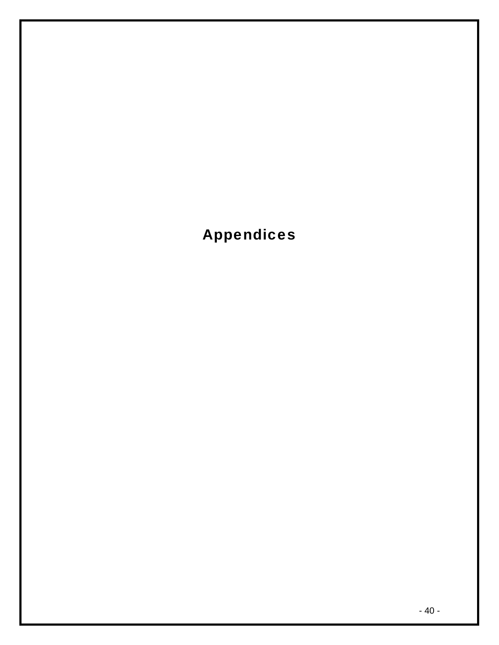Appendices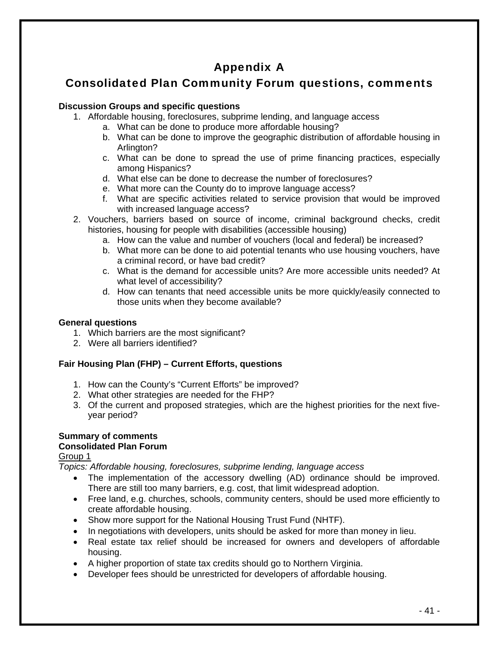# Appendix A

# Consolidated Plan Community Forum questions, comments

### **Discussion Groups and specific questions**

- 1. Affordable housing, foreclosures, subprime lending, and language access
	- a. What can be done to produce more affordable housing?
		- b. What can be done to improve the geographic distribution of affordable housing in Arlington?
		- c. What can be done to spread the use of prime financing practices, especially among Hispanics?
		- d. What else can be done to decrease the number of foreclosures?
		- e. What more can the County do to improve language access?
		- f. What are specific activities related to service provision that would be improved with increased language access?
- 2. Vouchers, barriers based on source of income, criminal background checks, credit histories, housing for people with disabilities (accessible housing)
	- a. How can the value and number of vouchers (local and federal) be increased?
	- b. What more can be done to aid potential tenants who use housing vouchers, have a criminal record, or have bad credit?
	- c. What is the demand for accessible units? Are more accessible units needed? At what level of accessibility?
	- d. How can tenants that need accessible units be more quickly/easily connected to those units when they become available?

#### **General questions**

- 1. Which barriers are the most significant?
- 2. Were all barriers identified?

### **Fair Housing Plan (FHP) – Current Efforts, questions**

- 1. How can the County's "Current Efforts" be improved?
- 2. What other strategies are needed for the FHP?
- 3. Of the current and proposed strategies, which are the highest priorities for the next fiveyear period?

### **Summary of comments Consolidated Plan Forum**

### Group 1

*Topics: Affordable housing, foreclosures, subprime lending, language access* 

- The implementation of the accessory dwelling (AD) ordinance should be improved. There are still too many barriers, e.g. cost, that limit widespread adoption.
- Free land, e.g. churches, schools, community centers, should be used more efficiently to create affordable housing.
- Show more support for the National Housing Trust Fund (NHTF).
- In negotiations with developers, units should be asked for more than money in lieu.
- Real estate tax relief should be increased for owners and developers of affordable housing.
- A higher proportion of state tax credits should go to Northern Virginia.
- Developer fees should be unrestricted for developers of affordable housing.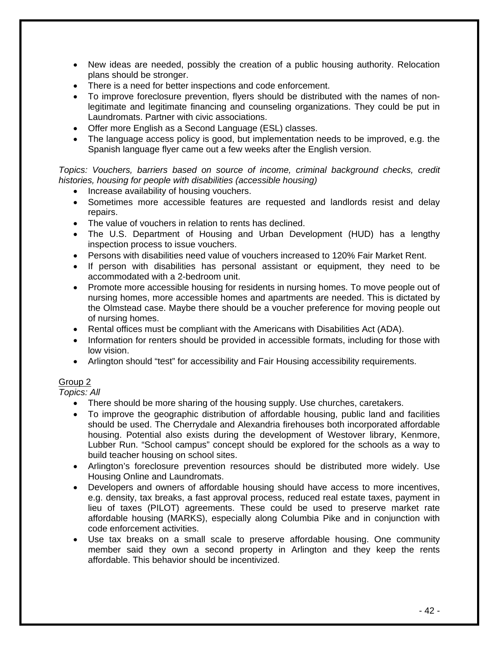- New ideas are needed, possibly the creation of a public housing authority. Relocation plans should be stronger.
- There is a need for better inspections and code enforcement.
- To improve foreclosure prevention, flyers should be distributed with the names of nonlegitimate and legitimate financing and counseling organizations. They could be put in Laundromats. Partner with civic associations.
- Offer more English as a Second Language (ESL) classes.
- The language access policy is good, but implementation needs to be improved, e.g. the Spanish language flyer came out a few weeks after the English version.

*Topics: Vouchers, barriers based on source of income, criminal background checks, credit histories, housing for people with disabilities (accessible housing)* 

- Increase availability of housing vouchers.
- Sometimes more accessible features are requested and landlords resist and delay repairs.
- The value of vouchers in relation to rents has declined.
- The U.S. Department of Housing and Urban Development (HUD) has a lengthy inspection process to issue vouchers.
- Persons with disabilities need value of vouchers increased to 120% Fair Market Rent.
- If person with disabilities has personal assistant or equipment, they need to be accommodated with a 2-bedroom unit.
- Promote more accessible housing for residents in nursing homes. To move people out of nursing homes, more accessible homes and apartments are needed. This is dictated by the Olmstead case. Maybe there should be a voucher preference for moving people out of nursing homes.
- Rental offices must be compliant with the Americans with Disabilities Act (ADA).
- Information for renters should be provided in accessible formats, including for those with low vision.
- Arlington should "test" for accessibility and Fair Housing accessibility requirements.

### Group 2

*Topics: All* 

- There should be more sharing of the housing supply. Use churches, caretakers.
- To improve the geographic distribution of affordable housing, public land and facilities should be used. The Cherrydale and Alexandria firehouses both incorporated affordable housing. Potential also exists during the development of Westover library, Kenmore, Lubber Run. "School campus" concept should be explored for the schools as a way to build teacher housing on school sites.
- Arlington's foreclosure prevention resources should be distributed more widely. Use Housing Online and Laundromats.
- Developers and owners of affordable housing should have access to more incentives, e.g. density, tax breaks, a fast approval process, reduced real estate taxes, payment in lieu of taxes (PILOT) agreements. These could be used to preserve market rate affordable housing (MARKS), especially along Columbia Pike and in conjunction with code enforcement activities.
- Use tax breaks on a small scale to preserve affordable housing. One community member said they own a second property in Arlington and they keep the rents affordable. This behavior should be incentivized.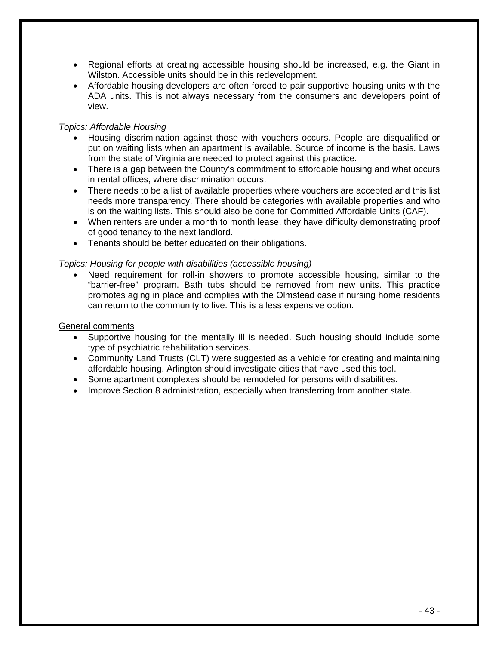- Regional efforts at creating accessible housing should be increased, e.g. the Giant in Wilston. Accessible units should be in this redevelopment.
- Affordable housing developers are often forced to pair supportive housing units with the ADA units. This is not always necessary from the consumers and developers point of view.

#### *Topics: Affordable Housing*

- Housing discrimination against those with vouchers occurs. People are disqualified or put on waiting lists when an apartment is available. Source of income is the basis. Laws from the state of Virginia are needed to protect against this practice.
- There is a gap between the County's commitment to affordable housing and what occurs in rental offices, where discrimination occurs.
- There needs to be a list of available properties where vouchers are accepted and this list needs more transparency. There should be categories with available properties and who is on the waiting lists. This should also be done for Committed Affordable Units (CAF).
- When renters are under a month to month lease, they have difficulty demonstrating proof of good tenancy to the next landlord.
- Tenants should be better educated on their obligations.

#### *Topics: Housing for people with disabilities (accessible housing)*

Need requirement for roll-in showers to promote accessible housing, similar to the "barrier-free" program. Bath tubs should be removed from new units. This practice promotes aging in place and complies with the Olmstead case if nursing home residents can return to the community to live. This is a less expensive option.

#### General comments

- Supportive housing for the mentally ill is needed. Such housing should include some type of psychiatric rehabilitation services.
- Community Land Trusts (CLT) were suggested as a vehicle for creating and maintaining affordable housing. Arlington should investigate cities that have used this tool.
- Some apartment complexes should be remodeled for persons with disabilities.
- Improve Section 8 administration, especially when transferring from another state.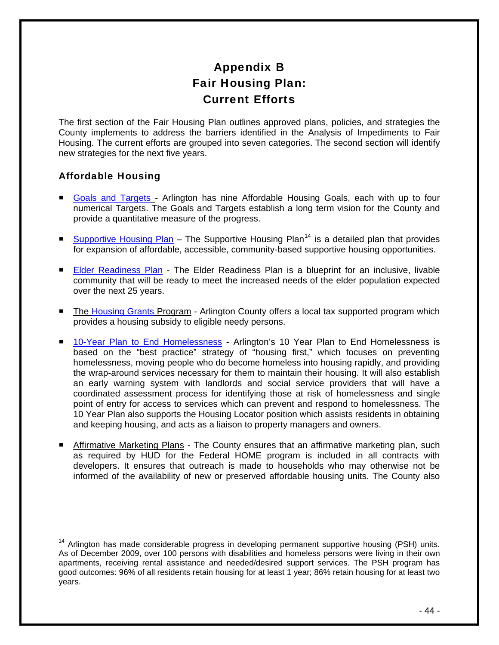# Appendix B Fair Housing Plan: Current Efforts

<span id="page-44-0"></span>The first section of the Fair Housing Plan outlines approved plans, policies, and strategies the County implements to address the barriers identified in the Analysis of Impediments to Fair Housing. The current efforts are grouped into seven categories. The second section will identify new strategies for the next five years.

### Affordable Housing

- [Goals and Targets](http://www.arlingtonva.us/departments/CPHD/housing/targets/CPHDHousingTargetsMain.aspx) Arlington has nine Affordable Housing Goals, each with up to four numerical Targets. The Goals and Targets establish a long term vision for the County and provide a quantitative measure of the progress.
- [Supportive Housing Plan](http://www.arlingtonva.us/Departments/CPHD/Documents/1609supportiveHousingPlan.pdf) The Supportive Housing Plan<sup>[14](#page-44-0)</sup> is a detailed plan that provides for expansion of affordable, accessible, community-based supportive housing opportunities.
- **[Elder Readiness Plan](http://www.arlingtonva.us/Departments/HumanServices/services/aging/aaa/HumanServicesAgingElderReadiness.aspx)  The Elder Readiness Plan is a blueprint for an inclusive, livable** community that will be ready to meet the increased needs of the elder population expected over the next 25 years.
- The [Housing Grants](http://www.arlingtonva.us/departments/humanservices/services/eid/HumanServicesServicesEIDHousingGrants.aspx) Program Arlington County offers a local tax supported program which provides a housing subsidy to eligible needy persons.
- [10-Year Plan to End Homelessness](http://www.arlingtonva.us/departments/HumanServices/Xtend/XtendPassageHome.aspx)  Arlington's 10 Year Plan to End Homelessness is based on the "best practice" strategy of "housing first," which focuses on preventing homelessness, moving people who do become homeless into housing rapidly, and providing the wrap-around services necessary for them to maintain their housing. It will also establish an early warning system with landlords and social service providers that will have a coordinated assessment process for identifying those at risk of homelessness and single point of entry for access to services which can prevent and respond to homelessness. The 10 Year Plan also supports the Housing Locator position which assists residents in obtaining and keeping housing, and acts as a liaison to property managers and owners.
- Affirmative Marketing Plans The County ensures that an affirmative marketing plan, such as required by HUD for the Federal HOME program is included in all contracts with developers. It ensures that outreach is made to households who may otherwise not be informed of the availability of new or preserved affordable housing units. The County also

<sup>&</sup>lt;sup>14</sup> Arlington has made considerable progress in developing permanent supportive housing (PSH) units. As of December 2009, over 100 persons with disabilities and homeless persons were living in their own apartments, receiving rental assistance and needed/desired support services. The PSH program has good outcomes: 96% of all residents retain housing for at least 1 year; 86% retain housing for at least two years.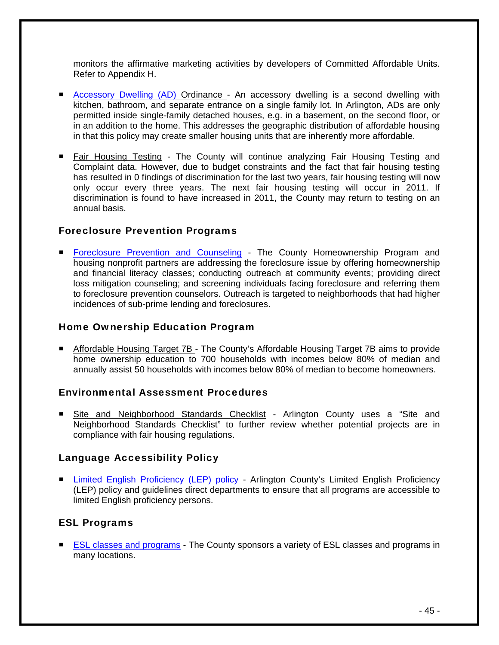monitors the affirmative marketing activities by developers of Committed Affordable Units. Refer to Appendix H.

- **[Accessory Dwelling \(AD\)](http://www.arlingtonva.us/Departments/CPHD/housing/hpp/page61595.aspx) Ordinance** An accessory dwelling is a second dwelling with kitchen, bathroom, and separate entrance on a single family lot. In Arlington, ADs are only permitted inside single-family detached houses, e.g. in a basement, on the second floor, or in an addition to the home. This addresses the geographic distribution of affordable housing in that this policy may create smaller housing units that are inherently more affordable.
- Fair Housing Testing The County will continue analyzing Fair Housing Testing and Complaint data. However, due to budget constraints and the fact that fair housing testing has resulted in 0 findings of discrimination for the last two years, fair housing testing will now only occur every three years. The next fair housing testing will occur in 2011. If discrimination is found to have increased in 2011, the County may return to testing on an annual basis.

### Foreclosure Prevention Programs

**[Foreclosure Prevention and Counseling](http://www.arlingtonva.us/departments/CPHD/housing/initiative/page66578.aspx) - The County Homeownership Program and** housing nonprofit partners are addressing the foreclosure issue by offering homeownership and financial literacy classes; conducting outreach at community events; providing direct loss mitigation counseling; and screening individuals facing foreclosure and referring them to foreclosure prevention counselors. Outreach is targeted to neighborhoods that had higher incidences of sub-prime lending and foreclosures.

### Home Ownership Education Program

■ Affordable Housing Target 7B - The County's Affordable Housing Target 7B aims to provide home ownership education to 700 households with incomes below 80% of median and annually assist 50 households with incomes below 80% of median to become homeowners.

### Environmental Assessment Procedures

 Site and Neighborhood Standards Checklist - Arlington County uses a "Site and Neighborhood Standards Checklist" to further review whether potential projects are in compliance with fair housing regulations.

### Language Accessibility Policy

 [Limited English Proficiency \(LEP\) policy](http://www.arlingtonva.us/departments/CountyManager/HumanRights/page59847.aspx) - Arlington County's Limited English Proficiency (LEP) policy and guidelines direct departments to ensure that all programs are accessible to limited English proficiency persons.

### ESL Programs

**[ESL classes and programs](http://www.arlington.k12.va.us/15401081182015517/site/default.asp) - The County sponsors a variety of ESL classes and programs in** many locations.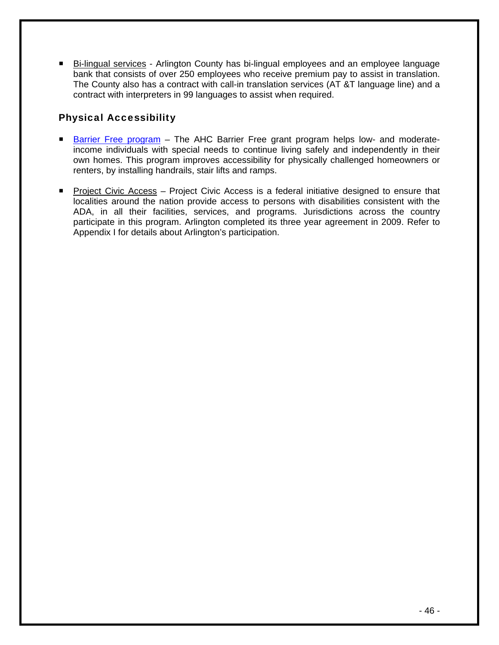■ Bi-lingual services - Arlington County has bi-lingual employees and an employee language bank that consists of over 250 employees who receive premium pay to assist in translation. The County also has a contract with call-in translation services (AT &T language line) and a contract with interpreters in 99 languages to assist when required.

### Physical Accessibility

- [Barrier Free program](http://www.ahcinc.org/HomeImprovementPrograms.html) The AHC Barrier Free grant program helps low- and moderateincome individuals with special needs to continue living safely and independently in their own homes. This program improves accessibility for physically challenged homeowners or renters, by installing handrails, stair lifts and ramps.
- **Project Civic Access Project Civic Access is a federal initiative designed to ensure that** localities around the nation provide access to persons with disabilities consistent with the ADA, in all their facilities, services, and programs. Jurisdictions across the country participate in this program. Arlington completed its three year agreement in 2009. Refer to Appendix I for details about Arlington's participation.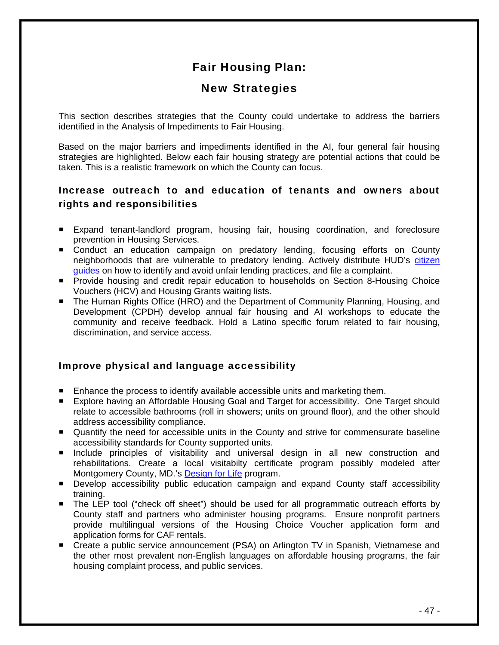# Fair Housing Plan:

# New Strategies

This section describes strategies that the County could undertake to address the barriers identified in the Analysis of Impediments to Fair Housing.

Based on the major barriers and impediments identified in the AI, four general fair housing strategies are highlighted. Below each fair housing strategy are potential actions that could be taken. This is a realistic framework on which the County can focus.

## Increase outreach to and education of tenants and owners about rights and responsibilities

- **Expand tenant-landlord program, housing fair, housing coordination, and foreclosure** prevention in Housing Services.
- Conduct an education campaign on predatory lending, focusing efforts on County neighborhoods that are vulnerable to predatory lending. Actively distribute HUD's [citizen](http://www.hud.gov/offices/adm/hudclips/forms/files/1686.pdf) [guides](http://www.hud.gov/offices/adm/hudclips/forms/files/903-1.pdf) on how to identify and avoid unfair lending practices, and file a complaint.
- **Provide housing and credit repair education to households on Section 8-Housing Choice** Vouchers (HCV) and Housing Grants waiting lists.
- The Human Rights Office (HRO) and the Department of Community Planning, Housing, and Development (CPDH) develop annual fair housing and AI workshops to educate the community and receive feedback. Hold a Latino specific forum related to fair housing, discrimination, and service access.

### Improve physical and language accessibility

- **Enhance the process to identify available accessible units and marketing them.**
- Explore having an Affordable Housing Goal and Target for accessibility. One Target should relate to accessible bathrooms (roll in showers; units on ground floor), and the other should address accessibility compliance.
- **Quantify the need for accessible units in the County and strive for commensurate baseline** accessibility standards for County supported units.
- **Include principles of visitability and universal design in all new construction and** rehabilitations. Create a local visitabilty certificate program possibly modeled after Montgomery County, MD.'s [Design for Life](http://www.montgomerycountymd.gov/hhstmpl.asp?url=/content/hhs/ads/DesignForLife/DesignForLifeMontgomery.asp) program.
- Develop accessibility public education campaign and expand County staff accessibility training.
- The LEP tool ("check off sheet") should be used for all programmatic outreach efforts by County staff and partners who administer housing programs. Ensure nonprofit partners provide multilingual versions of the Housing Choice Voucher application form and application forms for CAF rentals.
- Create a public service announcement (PSA) on Arlington TV in Spanish, Vietnamese and the other most prevalent non-English languages on affordable housing programs, the fair housing complaint process, and public services.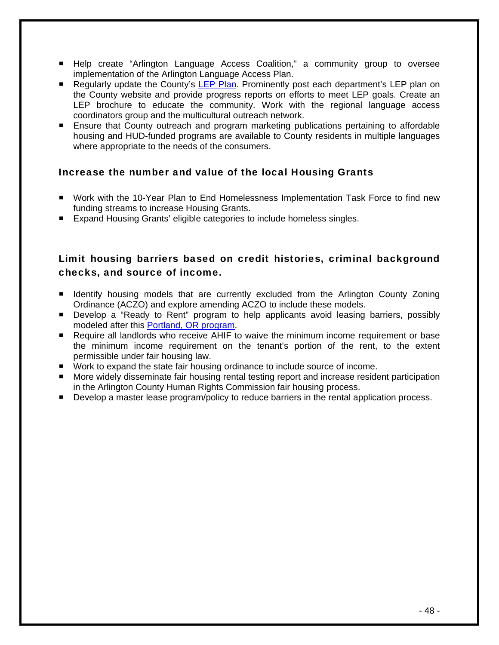- Help create "Arlington Language Access Coalition," a community group to oversee implementation of the Arlington Language Access Plan.
- Regularly update the County's [LEP Plan](http://www.vdh.state.va.us/epr/pdf/MaySeminar/Health_Director_Sessions/Serving_Persons_with_Limited_English_Proficiency.pdf). Prominently post each department's LEP plan on the County website and provide progress reports on efforts to meet LEP goals. Create an LEP brochure to educate the community. Work with the regional language access coordinators group and the multicultural outreach network.
- **Ensure that County outreach and program marketing publications pertaining to affordable** housing and HUD-funded programs are available to County residents in multiple languages where appropriate to the needs of the consumers.

### Increase the number and value of the local Housing Grants

- Work with the 10-Year Plan to End Homelessness Implementation Task Force to find new funding streams to increase Housing Grants.
- Expand Housing Grants' eligible categories to include homeless singles.

### Limit housing barriers based on credit histories, criminal background checks, and source of income.

- **If Identify housing models that are currently excluded from the Arlington County Zoning** Ordinance (ACZO) and explore amending ACZO to include these models.
- **Develop a "Ready to Rent" program to help applicants avoid leasing barriers, possibly** modeled after this [Portland, OR program](http://www.readytorent.org/index.html).
- Require all landlords who receive AHIF to waive the minimum income requirement or base the minimum income requirement on the tenant's portion of the rent, to the extent permissible under fair housing law.
- Work to expand the state fair housing ordinance to include source of income.
- **More widely disseminate fair housing rental testing report and increase resident participation** in the Arlington County Human Rights Commission fair housing process.
- Develop a master lease program/policy to reduce barriers in the rental application process.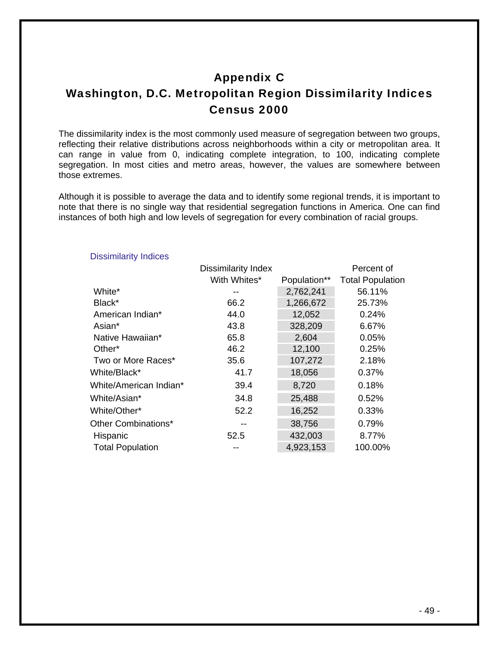# Appendix C

# Washington, D.C. Metropolitan Region Dissimilarity Indices Census 2000

The dissimilarity index is the most commonly used measure of segregation between two groups, reflecting their relative distributions across neighborhoods within a city or metropolitan area. It can range in value from 0, indicating complete integration, to 100, indicating complete segregation. In most cities and metro areas, however, the values are somewhere between those extremes.

Although it is possible to average the data and to identify some regional trends, it is important to note that there is no single way that residential segregation functions in America. One can find instances of both high and low levels of segregation for every combination of racial groups.

|                         | <b>Dissimilarity Index</b> |              | Percent of              |
|-------------------------|----------------------------|--------------|-------------------------|
|                         | With Whites*               | Population** | <b>Total Population</b> |
| White*                  | --                         | 2,762,241    | 56.11%                  |
| Black*                  | 66.2                       | 1,266,672    | 25.73%                  |
| American Indian*        | 44.0                       | 12,052       | 0.24%                   |
| Asian*                  | 43.8                       | 328,209      | 6.67%                   |
| Native Hawaiian*        | 65.8                       | 2,604        | 0.05%                   |
| Other <sup>*</sup>      | 46.2                       | 12,100       | 0.25%                   |
| Two or More Races*      | 35.6                       | 107,272      | 2.18%                   |
| White/Black*            | 41.7                       | 18,056       | 0.37%                   |
| White/American Indian*  | 39.4                       | 8,720        | 0.18%                   |
| White/Asian*            | 34.8                       | 25,488       | 0.52%                   |
| White/Other*            | 52.2                       | 16,252       | 0.33%                   |
| Other Combinations*     | --                         | 38,756       | 0.79%                   |
| Hispanic                | 52.5                       | 432,003      | 8.77%                   |
| <b>Total Population</b> |                            | 4,923,153    | 100.00%                 |

#### Dissimilarity Indices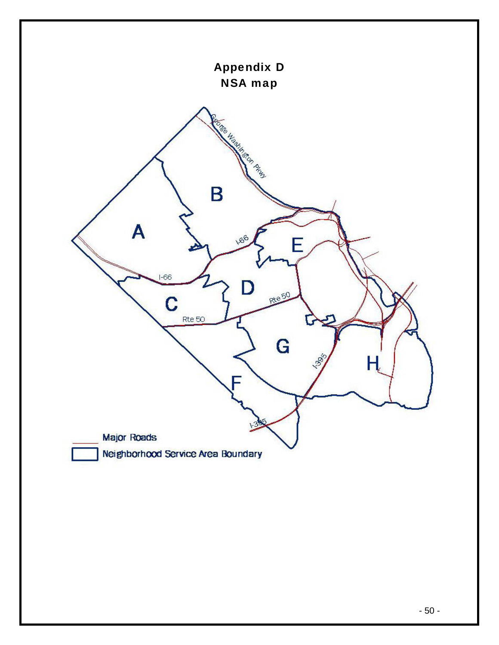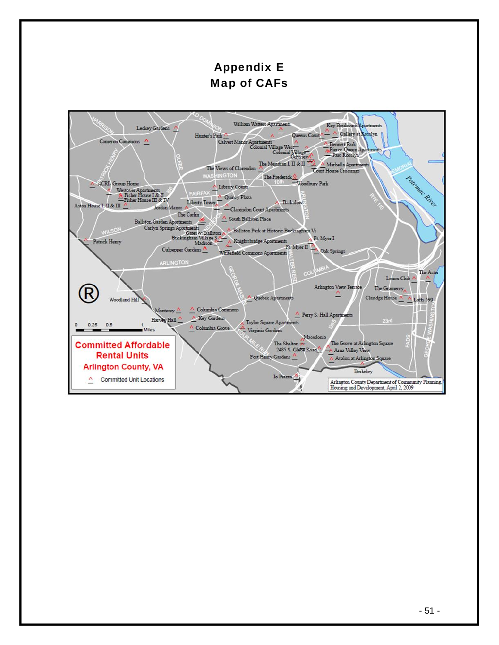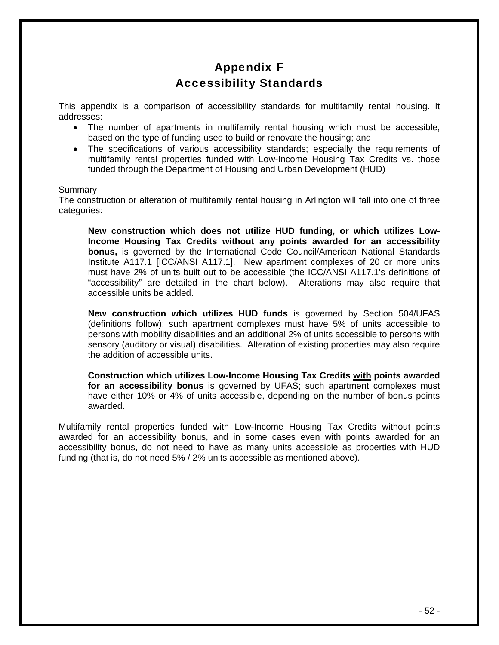# Appendix F Accessibility Standards

This appendix is a comparison of accessibility standards for multifamily rental housing. It addresses:

- The number of apartments in multifamily rental housing which must be accessible, based on the type of funding used to build or renovate the housing; and
- The specifications of various accessibility standards; especially the requirements of multifamily rental properties funded with Low-Income Housing Tax Credits vs. those funded through the Department of Housing and Urban Development (HUD)

#### Summary

The construction or alteration of multifamily rental housing in Arlington will fall into one of three categories:

**New construction which does not utilize HUD funding, or which utilizes Low-Income Housing Tax Credits without any points awarded for an accessibility bonus,** is governed by the International Code Council/American National Standards Institute A117.1 [ICC/ANSI A117.1]. New apartment complexes of 20 or more units must have 2% of units built out to be accessible (the ICC/ANSI A117.1's definitions of "accessibility" are detailed in the chart below). Alterations may also require that accessible units be added.

**New construction which utilizes HUD funds** is governed by Section 504/UFAS (definitions follow); such apartment complexes must have 5% of units accessible to persons with mobility disabilities and an additional 2% of units accessible to persons with sensory (auditory or visual) disabilities. Alteration of existing properties may also require the addition of accessible units.

**Construction which utilizes Low-Income Housing Tax Credits with points awarded for an accessibility bonus** is governed by UFAS; such apartment complexes must have either 10% or 4% of units accessible, depending on the number of bonus points awarded.

Multifamily rental properties funded with Low-Income Housing Tax Credits without points awarded for an accessibility bonus, and in some cases even with points awarded for an accessibility bonus, do not need to have as many units accessible as properties with HUD funding (that is, do not need 5% / 2% units accessible as mentioned above).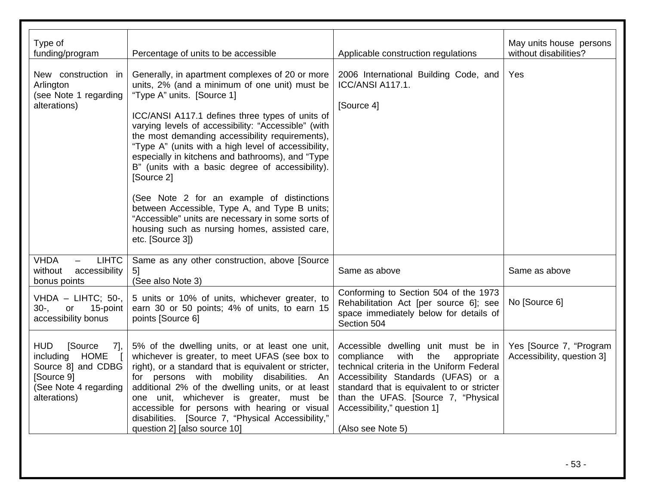| Type of<br>funding/program                                                                                                            | Percentage of units to be accessible                                                                                                                                                                                                                                                                                                                                                                                                                                                                                                                                                                                                                                                              | Applicable construction regulations                                                                                                                                                                                                                                                                          | May units house persons<br>without disabilities?      |
|---------------------------------------------------------------------------------------------------------------------------------------|---------------------------------------------------------------------------------------------------------------------------------------------------------------------------------------------------------------------------------------------------------------------------------------------------------------------------------------------------------------------------------------------------------------------------------------------------------------------------------------------------------------------------------------------------------------------------------------------------------------------------------------------------------------------------------------------------|--------------------------------------------------------------------------------------------------------------------------------------------------------------------------------------------------------------------------------------------------------------------------------------------------------------|-------------------------------------------------------|
| New construction in<br>Arlington<br>(see Note 1 regarding<br>alterations)                                                             | Generally, in apartment complexes of 20 or more<br>units, 2% (and a minimum of one unit) must be<br>"Type A" units. [Source 1]<br>ICC/ANSI A117.1 defines three types of units of<br>varying levels of accessibility: "Accessible" (with<br>the most demanding accessibility requirements),<br>"Type A" (units with a high level of accessibility,<br>especially in kitchens and bathrooms), and "Type<br>B" (units with a basic degree of accessibility).<br>[Source 2]<br>(See Note 2 for an example of distinctions<br>between Accessible, Type A, and Type B units;<br>"Accessible" units are necessary in some sorts of<br>housing such as nursing homes, assisted care,<br>etc. [Source 3]) | 2006 International Building Code, and<br>ICC/ANSI A117.1.<br>[Source 4]                                                                                                                                                                                                                                      | Yes                                                   |
| <b>VHDA</b><br><b>LIHTC</b><br>accessibility<br>without<br>bonus points                                                               | Same as any other construction, above [Source<br>5 <sup>1</sup><br>(See also Note 3)                                                                                                                                                                                                                                                                                                                                                                                                                                                                                                                                                                                                              | Same as above                                                                                                                                                                                                                                                                                                | Same as above                                         |
| VHDA - LIHTC; 50-,<br>$30-.$<br>or<br>15-point<br>accessibility bonus                                                                 | 5 units or 10% of units, whichever greater, to<br>earn 30 or 50 points; 4% of units, to earn 15<br>points [Source 6]                                                                                                                                                                                                                                                                                                                                                                                                                                                                                                                                                                              | Conforming to Section 504 of the 1973<br>Rehabilitation Act [per source 6]; see<br>space immediately below for details of<br>Section 504                                                                                                                                                                     | No [Source 6]                                         |
| <b>HUD</b><br>[Source<br>7],<br>including<br><b>HOME</b><br>Source 8] and CDBG<br>[Source 9]<br>(See Note 4 regarding<br>alterations) | 5% of the dwelling units, or at least one unit,<br>whichever is greater, to meet UFAS (see box to<br>right), or a standard that is equivalent or stricter,<br>for persons with mobility disabilities. An<br>additional 2% of the dwelling units, or at least<br>one unit, whichever is greater, must be<br>accessible for persons with hearing or visual<br>disabilities. [Source 7, "Physical Accessibility,"<br>question 2] [also source 10]                                                                                                                                                                                                                                                    | Accessible dwelling unit must be in<br>compliance<br>with<br>the<br>appropriate<br>technical criteria in the Uniform Federal<br>Accessibility Standards (UFAS) or a<br>standard that is equivalent to or stricter<br>than the UFAS. [Source 7, "Physical<br>Accessibility," question 1]<br>(Also see Note 5) | Yes [Source 7, "Program<br>Accessibility, question 3] |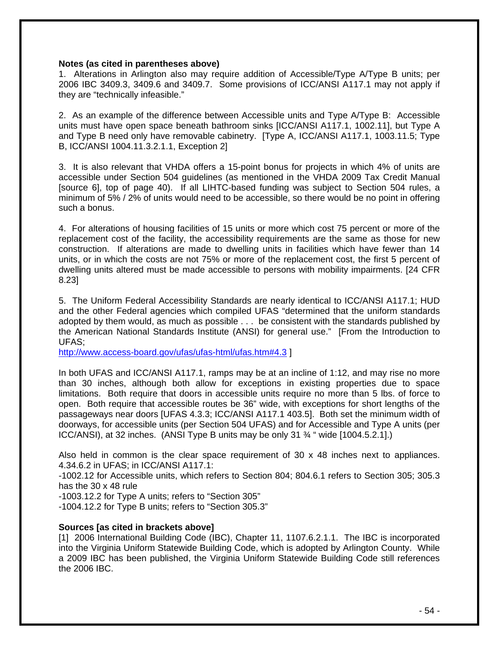#### **Notes (as cited in parentheses above)**

1. Alterations in Arlington also may require addition of Accessible/Type A/Type B units; per 2006 IBC 3409.3, 3409.6 and 3409.7. Some provisions of ICC/ANSI A117.1 may not apply if they are "technically infeasible."

2. As an example of the difference between Accessible units and Type A/Type B: Accessible units must have open space beneath bathroom sinks [ICC/ANSI A117.1, 1002.11], but Type A and Type B need only have removable cabinetry. [Type A, ICC/ANSI A117.1, 1003.11.5; Type B, ICC/ANSI 1004.11.3.2.1.1, Exception 2]

3. It is also relevant that VHDA offers a 15-point bonus for projects in which 4% of units are accessible under Section 504 guidelines (as mentioned in the VHDA 2009 Tax Credit Manual [source 6], top of page 40). If all LIHTC-based funding was subject to Section 504 rules, a minimum of 5% / 2% of units would need to be accessible, so there would be no point in offering such a bonus.

4. For alterations of housing facilities of 15 units or more which cost 75 percent or more of the replacement cost of the facility, the accessibility requirements are the same as those for new construction. If alterations are made to dwelling units in facilities which have fewer than 14 units, or in which the costs are not 75% or more of the replacement cost, the first 5 percent of dwelling units altered must be made accessible to persons with mobility impairments. [24 CFR 8.23]

5. The Uniform Federal Accessibility Standards are nearly identical to ICC/ANSI A117.1; HUD and the other Federal agencies which compiled UFAS "determined that the uniform standards adopted by them would, as much as possible . . . be consistent with the standards published by the American National Standards Institute (ANSI) for general use." [From the Introduction to UFAS;

<http://www.access-board.gov/ufas/ufas-html/ufas.htm#4.3> ]

In both UFAS and ICC/ANSI A117.1, ramps may be at an incline of 1:12, and may rise no more than 30 inches, although both allow for exceptions in existing properties due to space limitations. Both require that doors in accessible units require no more than 5 lbs. of force to open. Both require that accessible routes be 36" wide, with exceptions for short lengths of the passageways near doors [UFAS 4.3.3; ICC/ANSI A117.1 403.5]. Both set the minimum width of doorways, for accessible units (per Section 504 UFAS) and for Accessible and Type A units (per ICC/ANSI), at 32 inches. (ANSI Type B units may be only 31 ¾ " wide [1004.5.2.1].)

Also held in common is the clear space requirement of 30 x 48 inches next to appliances. 4.34.6.2 in UFAS; in ICC/ANSI A117.1:

-1002.12 for Accessible units, which refers to Section 804; 804.6.1 refers to Section 305; 305.3 has the 30 x 48 rule

-1003.12.2 for Type A units; refers to "Section 305"

-1004.12.2 for Type B units; refers to "Section 305.3"

#### **Sources [as cited in brackets above]**

[1] 2006 International Building Code (IBC), Chapter 11, 1107.6.2.1.1. The IBC is incorporated into the Virginia Uniform Statewide Building Code, which is adopted by Arlington County. While a 2009 IBC has been published, the Virginia Uniform Statewide Building Code still references the 2006 IBC.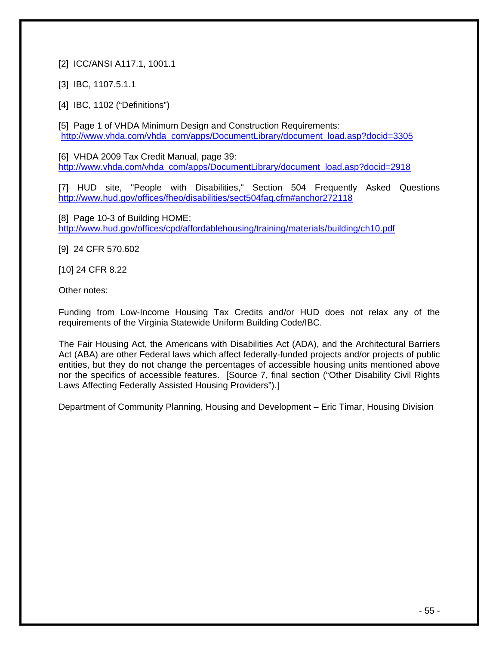### [2] ICC/ANSI A117.1, 1001.1

[3] IBC, 1107.5.1.1

[4] **IBC, 1102 ("Definitions")** 

[5] Page 1 of VHDA Minimum Design and Construction Requirements: [http://www.vhda.com/vhda\\_com/apps/DocumentLibrary/document\\_load.asp?docid=3305](http://www.vhda.com/vhda_com/apps/DocumentLibrary/document_load.asp?docid=3305)

[6] VHDA 2009 Tax Credit Manual, page 39: [http://www.vhda.com/vhda\\_com/apps/DocumentLibrary/document\\_load.asp?docid=2918](http://www.vhda.com/vhda_com/apps/DocumentLibrary/document_load.asp?docid=2918)

[7] HUD site, "People with Disabilities," Section 504 Frequently Asked Questions <http://www.hud.gov/offices/fheo/disabilities/sect504faq.cfm#anchor272118>

[8] Page 10-3 of Building HOME; <http://www.hud.gov/offices/cpd/affordablehousing/training/materials/building/ch10.pdf>

[9] 24 CFR 570.602

[10] 24 CFR 8.22

Other notes:

Funding from Low-Income Housing Tax Credits and/or HUD does not relax any of the requirements of the Virginia Statewide Uniform Building Code/IBC.

The Fair Housing Act, the Americans with Disabilities Act (ADA), and the Architectural Barriers Act (ABA) are other Federal laws which affect federally-funded projects and/or projects of public entities, but they do not change the percentages of accessible housing units mentioned above nor the specifics of accessible features. [Source 7, final section ("Other Disability Civil Rights Laws Affecting Federally Assisted Housing Providers").]

Department of Community Planning, Housing and Development – Eric Timar, Housing Division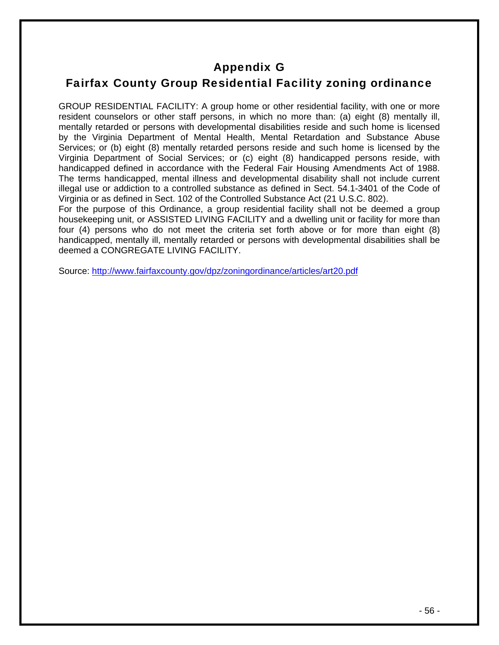# Appendix G

# Fairfax County Group Residential Facility zoning ordinance

GROUP RESIDENTIAL FACILITY: A group home or other residential facility, with one or more resident counselors or other staff persons, in which no more than: (a) eight (8) mentally ill, mentally retarded or persons with developmental disabilities reside and such home is licensed by the Virginia Department of Mental Health, Mental Retardation and Substance Abuse Services; or (b) eight (8) mentally retarded persons reside and such home is licensed by the Virginia Department of Social Services; or (c) eight (8) handicapped persons reside, with handicapped defined in accordance with the Federal Fair Housing Amendments Act of 1988. The terms handicapped, mental illness and developmental disability shall not include current illegal use or addiction to a controlled substance as defined in Sect. 54.1-3401 of the Code of Virginia or as defined in Sect. 102 of the Controlled Substance Act (21 U.S.C. 802).

For the purpose of this Ordinance, a group residential facility shall not be deemed a group housekeeping unit, or ASSISTED LIVING FACILITY and a dwelling unit or facility for more than four (4) persons who do not meet the criteria set forth above or for more than eight (8) handicapped, mentally ill, mentally retarded or persons with developmental disabilities shall be deemed a CONGREGATE LIVING FACILITY.

Source: <http://www.fairfaxcounty.gov/dpz/zoningordinance/articles/art20.pdf>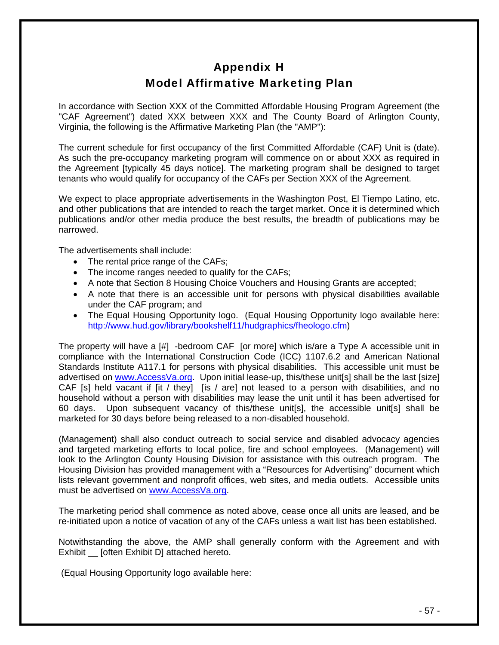# Appendix H Model Affirmative Marketing Plan

In accordance with Section XXX of the Committed Affordable Housing Program Agreement (the "CAF Agreement") dated XXX between XXX and The County Board of Arlington County, Virginia, the following is the Affirmative Marketing Plan (the "AMP"):

The current schedule for first occupancy of the first Committed Affordable (CAF) Unit is (date). As such the pre-occupancy marketing program will commence on or about XXX as required in the Agreement [typically 45 days notice]. The marketing program shall be designed to target tenants who would qualify for occupancy of the CAFs per Section XXX of the Agreement.

We expect to place appropriate advertisements in the Washington Post, El Tiempo Latino, etc. and other publications that are intended to reach the target market. Once it is determined which publications and/or other media produce the best results, the breadth of publications may be narrowed.

The advertisements shall include:

- The rental price range of the CAFs;
- The income ranges needed to qualify for the CAFs;
- A note that Section 8 Housing Choice Vouchers and Housing Grants are accepted;
- A note that there is an accessible unit for persons with physical disabilities available under the CAF program; and
- The Equal Housing Opportunity logo. (Equal Housing Opportunity logo available here: [http://www.hud.gov/library/bookshelf11/hudgraphics/fheologo.cfm\)](http://www.hud.gov/library/bookshelf11/hudgraphics/fheologo.cfm)

The property will have a [#] -bedroom CAF [or more] which is/are a Type A accessible unit in compliance with the International Construction Code (ICC) 1107.6.2 and American National Standards Institute A117.1 for persons with physical disabilities. This accessible unit must be advertised on [www.AccessVa.org.](http://www.accessva.org/) Upon initial lease-up, this/these unit[s] shall be the last [size] CAF [s] held vacant if [it / they] [is / are] not leased to a person with disabilities, and no household without a person with disabilities may lease the unit until it has been advertised for 60 days. Upon subsequent vacancy of this/these unit[s], the accessible unit[s] shall be marketed for 30 days before being released to a non-disabled household.

(Management) shall also conduct outreach to social service and disabled advocacy agencies and targeted marketing efforts to local police, fire and school employees. (Management) will look to the Arlington County Housing Division for assistance with this outreach program. The Housing Division has provided management with a "Resources for Advertising" document which lists relevant government and nonprofit offices, web sites, and media outlets. Accessible units must be advertised on [www.AccessVa.org](http://www.accessva.org/).

The marketing period shall commence as noted above, cease once all units are leased, and be re-initiated upon a notice of vacation of any of the CAFs unless a wait list has been established.

Notwithstanding the above, the AMP shall generally conform with the Agreement and with Exhibit [often Exhibit D] attached hereto.

(Equal Housing Opportunity logo available here: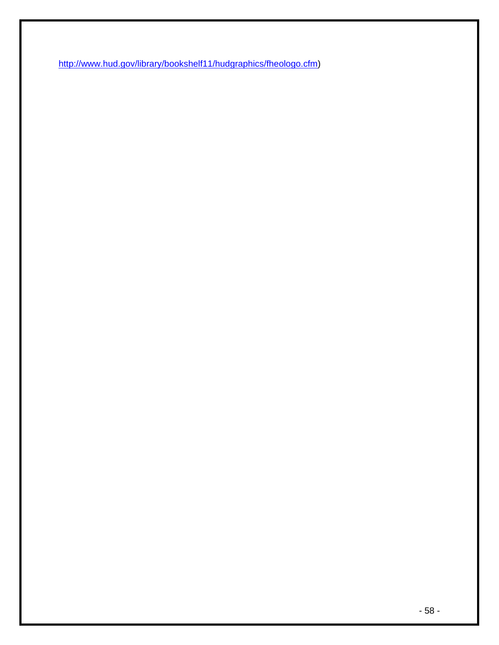[http://www.hud.gov/library/bookshelf11/hudgraphics/fheologo.cfm\)](http://www.hud.gov/library/bookshelf11/hudgraphics/fheologo.cfm)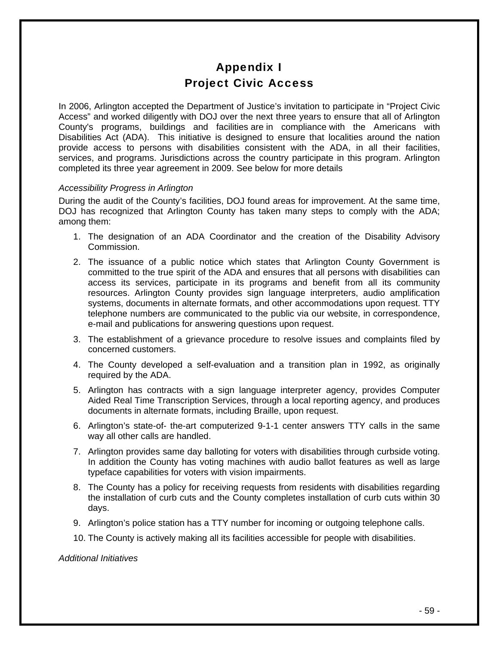# Appendix I Project Civic Access

In 2006, Arlington accepted the Department of Justice's invitation to participate in "Project Civic Access" and worked diligently with DOJ over the next three years to ensure that all of Arlington County's programs, buildings and facilities are in compliance with the Americans with Disabilities Act (ADA). This initiative is designed to ensure that localities around the nation provide access to persons with disabilities consistent with the ADA, in all their facilities, services, and programs. Jurisdictions across the country participate in this program. Arlington completed its three year agreement in 2009. See below for more details

#### *Accessibility Progress in Arlington*

During the audit of the County's facilities, DOJ found areas for improvement. At the same time, DOJ has recognized that Arlington County has taken many steps to comply with the ADA; among them:

- 1. The designation of an ADA Coordinator and the creation of the Disability Advisory Commission.
- 2. The issuance of a public notice which states that Arlington County Government is committed to the true spirit of the ADA and ensures that all persons with disabilities can access its services, participate in its programs and benefit from all its community resources. Arlington County provides sign language interpreters, audio amplification systems, documents in alternate formats, and other accommodations upon request. TTY telephone numbers are communicated to the public via our website, in correspondence, e-mail and publications for answering questions upon request.
- 3. The establishment of a grievance procedure to resolve issues and complaints filed by concerned customers.
- 4. The County developed a self-evaluation and a transition plan in 1992, as originally required by the ADA.
- 5. Arlington has contracts with a sign language interpreter agency, provides Computer Aided Real Time Transcription Services, through a local reporting agency, and produces documents in alternate formats, including Braille, upon request.
- 6. Arlington's state-of- the-art computerized 9-1-1 center answers TTY calls in the same way all other calls are handled.
- 7. Arlington provides same day balloting for voters with disabilities through curbside voting. In addition the County has voting machines with audio ballot features as well as large typeface capabilities for voters with vision impairments.
- 8. The County has a policy for receiving requests from residents with disabilities regarding the installation of curb cuts and the County completes installation of curb cuts within 30 days.
- 9. Arlington's police station has a TTY number for incoming or outgoing telephone calls.
- 10. The County is actively making all its facilities accessible for people with disabilities.

#### *Additional Initiatives*